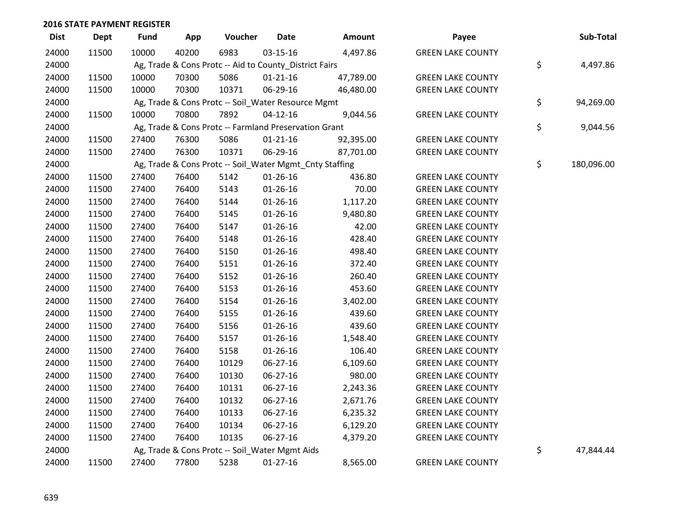| <b>Dist</b> | <b>Dept</b> | Fund  | App   | Voucher                                                 | <b>Date</b>    | Amount    | Payee                    | Sub-Total        |
|-------------|-------------|-------|-------|---------------------------------------------------------|----------------|-----------|--------------------------|------------------|
| 24000       | 11500       | 10000 | 40200 | 6983                                                    | 03-15-16       | 4,497.86  | <b>GREEN LAKE COUNTY</b> |                  |
| 24000       |             |       |       | Ag, Trade & Cons Protc -- Aid to County_District Fairs  |                |           |                          | \$<br>4,497.86   |
| 24000       | 11500       | 10000 | 70300 | 5086                                                    | $01 - 21 - 16$ | 47,789.00 | <b>GREEN LAKE COUNTY</b> |                  |
| 24000       | 11500       | 10000 | 70300 | 10371                                                   | 06-29-16       | 46,480.00 | <b>GREEN LAKE COUNTY</b> |                  |
| 24000       |             |       |       | Ag, Trade & Cons Protc -- Soil_Water Resource Mgmt      |                |           |                          | \$<br>94,269.00  |
| 24000       | 11500       | 10000 | 70800 | 7892                                                    | $04-12-16$     | 9,044.56  | <b>GREEN LAKE COUNTY</b> |                  |
| 24000       |             |       |       | Ag, Trade & Cons Protc -- Farmland Preservation Grant   |                |           |                          | \$<br>9,044.56   |
| 24000       | 11500       | 27400 | 76300 | 5086                                                    | $01 - 21 - 16$ | 92,395.00 | <b>GREEN LAKE COUNTY</b> |                  |
| 24000       | 11500       | 27400 | 76300 | 10371                                                   | 06-29-16       | 87,701.00 | <b>GREEN LAKE COUNTY</b> |                  |
| 24000       |             |       |       | Ag, Trade & Cons Protc -- Soil_Water Mgmt_Cnty Staffing |                |           |                          | \$<br>180,096.00 |
| 24000       | 11500       | 27400 | 76400 | 5142                                                    | $01 - 26 - 16$ | 436.80    | <b>GREEN LAKE COUNTY</b> |                  |
| 24000       | 11500       | 27400 | 76400 | 5143                                                    | 01-26-16       | 70.00     | <b>GREEN LAKE COUNTY</b> |                  |
| 24000       | 11500       | 27400 | 76400 | 5144                                                    | $01 - 26 - 16$ | 1,117.20  | <b>GREEN LAKE COUNTY</b> |                  |
| 24000       | 11500       | 27400 | 76400 | 5145                                                    | $01 - 26 - 16$ | 9,480.80  | <b>GREEN LAKE COUNTY</b> |                  |
| 24000       | 11500       | 27400 | 76400 | 5147                                                    | $01 - 26 - 16$ | 42.00     | <b>GREEN LAKE COUNTY</b> |                  |
| 24000       | 11500       | 27400 | 76400 | 5148                                                    | $01 - 26 - 16$ | 428.40    | <b>GREEN LAKE COUNTY</b> |                  |
| 24000       | 11500       | 27400 | 76400 | 5150                                                    | $01 - 26 - 16$ | 498.40    | <b>GREEN LAKE COUNTY</b> |                  |
| 24000       | 11500       | 27400 | 76400 | 5151                                                    | $01 - 26 - 16$ | 372.40    | <b>GREEN LAKE COUNTY</b> |                  |
| 24000       | 11500       | 27400 | 76400 | 5152                                                    | $01 - 26 - 16$ | 260.40    | <b>GREEN LAKE COUNTY</b> |                  |
| 24000       | 11500       | 27400 | 76400 | 5153                                                    | $01 - 26 - 16$ | 453.60    | <b>GREEN LAKE COUNTY</b> |                  |
| 24000       | 11500       | 27400 | 76400 | 5154                                                    | $01 - 26 - 16$ | 3,402.00  | <b>GREEN LAKE COUNTY</b> |                  |
| 24000       | 11500       | 27400 | 76400 | 5155                                                    | $01 - 26 - 16$ | 439.60    | <b>GREEN LAKE COUNTY</b> |                  |
| 24000       | 11500       | 27400 | 76400 | 5156                                                    | $01 - 26 - 16$ | 439.60    | <b>GREEN LAKE COUNTY</b> |                  |
| 24000       | 11500       | 27400 | 76400 | 5157                                                    | $01 - 26 - 16$ | 1,548.40  | <b>GREEN LAKE COUNTY</b> |                  |
| 24000       | 11500       | 27400 | 76400 | 5158                                                    | $01 - 26 - 16$ | 106.40    | <b>GREEN LAKE COUNTY</b> |                  |
| 24000       | 11500       | 27400 | 76400 | 10129                                                   | 06-27-16       | 6,109.60  | <b>GREEN LAKE COUNTY</b> |                  |
| 24000       | 11500       | 27400 | 76400 | 10130                                                   | 06-27-16       | 980.00    | <b>GREEN LAKE COUNTY</b> |                  |
| 24000       | 11500       | 27400 | 76400 | 10131                                                   | 06-27-16       | 2,243.36  | <b>GREEN LAKE COUNTY</b> |                  |
| 24000       | 11500       | 27400 | 76400 | 10132                                                   | 06-27-16       | 2,671.76  | <b>GREEN LAKE COUNTY</b> |                  |
| 24000       | 11500       | 27400 | 76400 | 10133                                                   | 06-27-16       | 6,235.32  | <b>GREEN LAKE COUNTY</b> |                  |
| 24000       | 11500       | 27400 | 76400 | 10134                                                   | 06-27-16       | 6,129.20  | <b>GREEN LAKE COUNTY</b> |                  |
| 24000       | 11500       | 27400 | 76400 | 10135                                                   | 06-27-16       | 4,379.20  | <b>GREEN LAKE COUNTY</b> |                  |
| 24000       |             |       |       | Ag, Trade & Cons Protc -- Soil Water Mgmt Aids          |                |           |                          | \$<br>47,844.44  |
| 24000       | 11500       | 27400 | 77800 | 5238                                                    | $01-27-16$     | 8,565.00  | <b>GREEN LAKE COUNTY</b> |                  |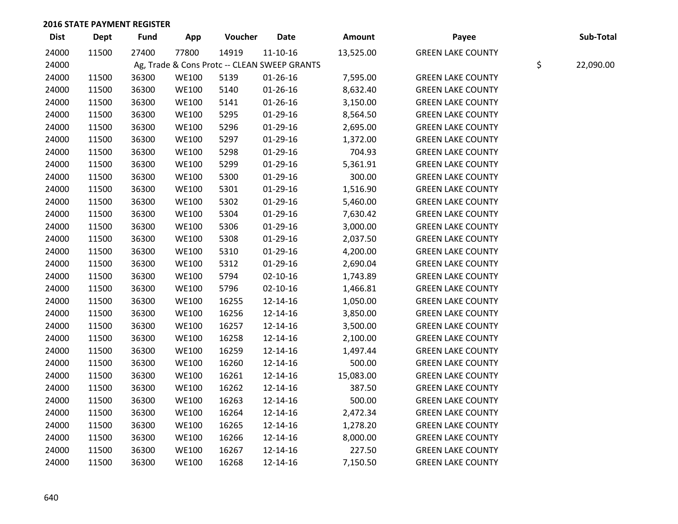| <b>Dist</b> | <b>Dept</b> | <b>Fund</b> | App          | Voucher                                      | <b>Date</b>    | Amount    | Payee                    | Sub-Total       |
|-------------|-------------|-------------|--------------|----------------------------------------------|----------------|-----------|--------------------------|-----------------|
| 24000       | 11500       | 27400       | 77800        | 14919                                        | $11 - 10 - 16$ | 13,525.00 | <b>GREEN LAKE COUNTY</b> |                 |
| 24000       |             |             |              | Ag, Trade & Cons Protc -- CLEAN SWEEP GRANTS |                |           |                          | \$<br>22,090.00 |
| 24000       | 11500       | 36300       | <b>WE100</b> | 5139                                         | $01 - 26 - 16$ | 7,595.00  | <b>GREEN LAKE COUNTY</b> |                 |
| 24000       | 11500       | 36300       | <b>WE100</b> | 5140                                         | $01 - 26 - 16$ | 8,632.40  | <b>GREEN LAKE COUNTY</b> |                 |
| 24000       | 11500       | 36300       | <b>WE100</b> | 5141                                         | $01 - 26 - 16$ | 3,150.00  | <b>GREEN LAKE COUNTY</b> |                 |
| 24000       | 11500       | 36300       | <b>WE100</b> | 5295                                         | 01-29-16       | 8,564.50  | <b>GREEN LAKE COUNTY</b> |                 |
| 24000       | 11500       | 36300       | <b>WE100</b> | 5296                                         | $01-29-16$     | 2,695.00  | <b>GREEN LAKE COUNTY</b> |                 |
| 24000       | 11500       | 36300       | <b>WE100</b> | 5297                                         | $01-29-16$     | 1,372.00  | <b>GREEN LAKE COUNTY</b> |                 |
| 24000       | 11500       | 36300       | <b>WE100</b> | 5298                                         | $01-29-16$     | 704.93    | <b>GREEN LAKE COUNTY</b> |                 |
| 24000       | 11500       | 36300       | <b>WE100</b> | 5299                                         | 01-29-16       | 5,361.91  | <b>GREEN LAKE COUNTY</b> |                 |
| 24000       | 11500       | 36300       | <b>WE100</b> | 5300                                         | 01-29-16       | 300.00    | <b>GREEN LAKE COUNTY</b> |                 |
| 24000       | 11500       | 36300       | <b>WE100</b> | 5301                                         | $01-29-16$     | 1,516.90  | <b>GREEN LAKE COUNTY</b> |                 |
| 24000       | 11500       | 36300       | <b>WE100</b> | 5302                                         | 01-29-16       | 5,460.00  | <b>GREEN LAKE COUNTY</b> |                 |
| 24000       | 11500       | 36300       | <b>WE100</b> | 5304                                         | 01-29-16       | 7,630.42  | <b>GREEN LAKE COUNTY</b> |                 |
| 24000       | 11500       | 36300       | <b>WE100</b> | 5306                                         | 01-29-16       | 3,000.00  | <b>GREEN LAKE COUNTY</b> |                 |
| 24000       | 11500       | 36300       | <b>WE100</b> | 5308                                         | 01-29-16       | 2,037.50  | <b>GREEN LAKE COUNTY</b> |                 |
| 24000       | 11500       | 36300       | <b>WE100</b> | 5310                                         | 01-29-16       | 4,200.00  | <b>GREEN LAKE COUNTY</b> |                 |
| 24000       | 11500       | 36300       | <b>WE100</b> | 5312                                         | 01-29-16       | 2,690.04  | <b>GREEN LAKE COUNTY</b> |                 |
| 24000       | 11500       | 36300       | <b>WE100</b> | 5794                                         | $02 - 10 - 16$ | 1,743.89  | <b>GREEN LAKE COUNTY</b> |                 |
| 24000       | 11500       | 36300       | <b>WE100</b> | 5796                                         | $02 - 10 - 16$ | 1,466.81  | <b>GREEN LAKE COUNTY</b> |                 |
| 24000       | 11500       | 36300       | <b>WE100</b> | 16255                                        | 12-14-16       | 1,050.00  | <b>GREEN LAKE COUNTY</b> |                 |
| 24000       | 11500       | 36300       | <b>WE100</b> | 16256                                        | 12-14-16       | 3,850.00  | <b>GREEN LAKE COUNTY</b> |                 |
| 24000       | 11500       | 36300       | <b>WE100</b> | 16257                                        | 12-14-16       | 3,500.00  | <b>GREEN LAKE COUNTY</b> |                 |
| 24000       | 11500       | 36300       | <b>WE100</b> | 16258                                        | 12-14-16       | 2,100.00  | <b>GREEN LAKE COUNTY</b> |                 |
| 24000       | 11500       | 36300       | <b>WE100</b> | 16259                                        | 12-14-16       | 1,497.44  | <b>GREEN LAKE COUNTY</b> |                 |
| 24000       | 11500       | 36300       | <b>WE100</b> | 16260                                        | 12-14-16       | 500.00    | <b>GREEN LAKE COUNTY</b> |                 |
| 24000       | 11500       | 36300       | <b>WE100</b> | 16261                                        | 12-14-16       | 15,083.00 | <b>GREEN LAKE COUNTY</b> |                 |
| 24000       | 11500       | 36300       | <b>WE100</b> | 16262                                        | 12-14-16       | 387.50    | <b>GREEN LAKE COUNTY</b> |                 |
| 24000       | 11500       | 36300       | <b>WE100</b> | 16263                                        | 12-14-16       | 500.00    | <b>GREEN LAKE COUNTY</b> |                 |
| 24000       | 11500       | 36300       | <b>WE100</b> | 16264                                        | 12-14-16       | 2,472.34  | <b>GREEN LAKE COUNTY</b> |                 |
| 24000       | 11500       | 36300       | <b>WE100</b> | 16265                                        | 12-14-16       | 1,278.20  | <b>GREEN LAKE COUNTY</b> |                 |
| 24000       | 11500       | 36300       | <b>WE100</b> | 16266                                        | 12-14-16       | 8,000.00  | <b>GREEN LAKE COUNTY</b> |                 |
| 24000       | 11500       | 36300       | <b>WE100</b> | 16267                                        | 12-14-16       | 227.50    | <b>GREEN LAKE COUNTY</b> |                 |
| 24000       | 11500       | 36300       | <b>WE100</b> | 16268                                        | 12-14-16       | 7,150.50  | <b>GREEN LAKE COUNTY</b> |                 |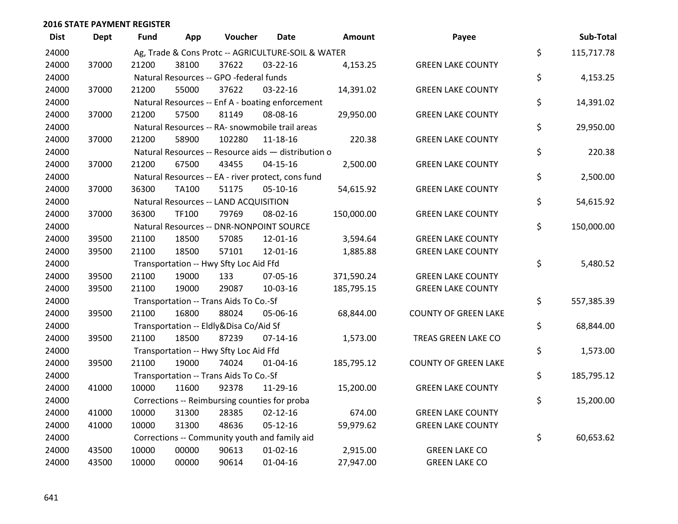| <b>Dist</b> | <b>Dept</b> | <b>Fund</b> | App          | Voucher                                             | Date           | Amount     | Payee                       | Sub-Total        |
|-------------|-------------|-------------|--------------|-----------------------------------------------------|----------------|------------|-----------------------------|------------------|
| 24000       |             |             |              | Ag, Trade & Cons Protc -- AGRICULTURE-SOIL & WATER  |                |            |                             | \$<br>115,717.78 |
| 24000       | 37000       | 21200       | 38100        | 37622                                               | $03 - 22 - 16$ | 4,153.25   | <b>GREEN LAKE COUNTY</b>    |                  |
| 24000       |             |             |              | Natural Resources -- GPO -federal funds             |                |            |                             | \$<br>4,153.25   |
| 24000       | 37000       | 21200       | 55000        | 37622                                               | $03 - 22 - 16$ | 14,391.02  | <b>GREEN LAKE COUNTY</b>    |                  |
| 24000       |             |             |              | Natural Resources -- Enf A - boating enforcement    |                |            |                             | \$<br>14,391.02  |
| 24000       | 37000       | 21200       | 57500        | 81149                                               | 08-08-16       | 29,950.00  | <b>GREEN LAKE COUNTY</b>    |                  |
| 24000       |             |             |              | Natural Resources -- RA- snowmobile trail areas     |                |            |                             | \$<br>29,950.00  |
| 24000       | 37000       | 21200       | 58900        | 102280                                              | $11 - 18 - 16$ | 220.38     | <b>GREEN LAKE COUNTY</b>    |                  |
| 24000       |             |             |              | Natural Resources -- Resource aids - distribution o |                |            |                             | \$<br>220.38     |
| 24000       | 37000       | 21200       | 67500        | 43455                                               | $04 - 15 - 16$ | 2,500.00   | <b>GREEN LAKE COUNTY</b>    |                  |
| 24000       |             |             |              | Natural Resources -- EA - river protect, cons fund  |                |            |                             | \$<br>2,500.00   |
| 24000       | 37000       | 36300       | <b>TA100</b> | 51175                                               | 05-10-16       | 54,615.92  | <b>GREEN LAKE COUNTY</b>    |                  |
| 24000       |             |             |              | Natural Resources -- LAND ACQUISITION               |                |            |                             | \$<br>54,615.92  |
| 24000       | 37000       | 36300       | TF100        | 79769                                               | 08-02-16       | 150,000.00 | <b>GREEN LAKE COUNTY</b>    |                  |
| 24000       |             |             |              | Natural Resources -- DNR-NONPOINT SOURCE            |                |            |                             | \$<br>150,000.00 |
| 24000       | 39500       | 21100       | 18500        | 57085                                               | 12-01-16       | 3,594.64   | <b>GREEN LAKE COUNTY</b>    |                  |
| 24000       | 39500       | 21100       | 18500        | 57101                                               | 12-01-16       | 1,885.88   | <b>GREEN LAKE COUNTY</b>    |                  |
| 24000       |             |             |              | Transportation -- Hwy Sfty Loc Aid Ffd              |                |            |                             | \$<br>5,480.52   |
| 24000       | 39500       | 21100       | 19000        | 133                                                 | 07-05-16       | 371,590.24 | <b>GREEN LAKE COUNTY</b>    |                  |
| 24000       | 39500       | 21100       | 19000        | 29087                                               | 10-03-16       | 185,795.15 | <b>GREEN LAKE COUNTY</b>    |                  |
| 24000       |             |             |              | Transportation -- Trans Aids To Co.-Sf              |                |            |                             | \$<br>557,385.39 |
| 24000       | 39500       | 21100       | 16800        | 88024                                               | 05-06-16       | 68,844.00  | <b>COUNTY OF GREEN LAKE</b> |                  |
| 24000       |             |             |              | Transportation -- Eldly&Disa Co/Aid Sf              |                |            |                             | \$<br>68,844.00  |
| 24000       | 39500       | 21100       | 18500        | 87239                                               | $07 - 14 - 16$ | 1,573.00   | TREAS GREEN LAKE CO         |                  |
| 24000       |             |             |              | Transportation -- Hwy Sfty Loc Aid Ffd              |                |            |                             | \$<br>1,573.00   |
| 24000       | 39500       | 21100       | 19000        | 74024                                               | $01 - 04 - 16$ | 185,795.12 | <b>COUNTY OF GREEN LAKE</b> |                  |
| 24000       |             |             |              | Transportation -- Trans Aids To Co.-Sf              |                |            |                             | \$<br>185,795.12 |
| 24000       | 41000       | 10000       | 11600        | 92378                                               | 11-29-16       | 15,200.00  | <b>GREEN LAKE COUNTY</b>    |                  |
| 24000       |             |             |              | Corrections -- Reimbursing counties for proba       |                |            |                             | \$<br>15,200.00  |
| 24000       | 41000       | 10000       | 31300        | 28385                                               | $02 - 12 - 16$ | 674.00     | <b>GREEN LAKE COUNTY</b>    |                  |
| 24000       | 41000       | 10000       | 31300        | 48636                                               | $05 - 12 - 16$ | 59,979.62  | <b>GREEN LAKE COUNTY</b>    |                  |
| 24000       |             |             |              | Corrections -- Community youth and family aid       |                |            |                             | \$<br>60,653.62  |
| 24000       | 43500       | 10000       | 00000        | 90613                                               | $01 - 02 - 16$ | 2,915.00   | <b>GREEN LAKE CO</b>        |                  |
| 24000       | 43500       | 10000       | 00000        | 90614                                               | $01 - 04 - 16$ | 27,947.00  | <b>GREEN LAKE CO</b>        |                  |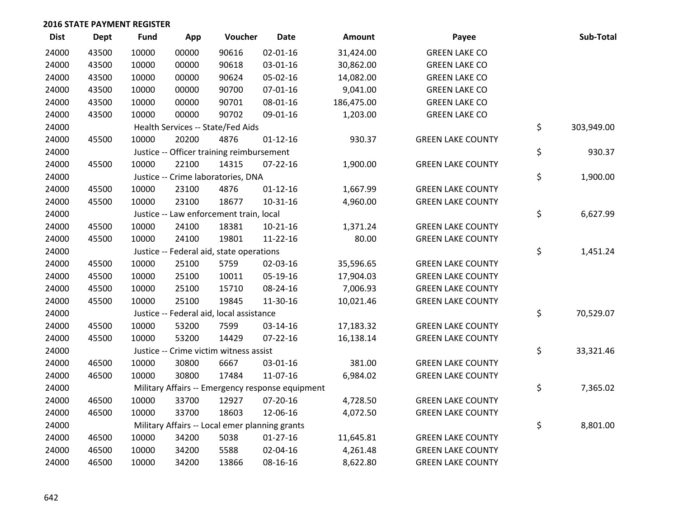| <b>Dist</b> | <b>Dept</b> | <b>Fund</b> | App   | Voucher                                        | <b>Date</b>                                      | Amount     | Payee                    | Sub-Total        |
|-------------|-------------|-------------|-------|------------------------------------------------|--------------------------------------------------|------------|--------------------------|------------------|
| 24000       | 43500       | 10000       | 00000 | 90616                                          | $02 - 01 - 16$                                   | 31,424.00  | <b>GREEN LAKE CO</b>     |                  |
| 24000       | 43500       | 10000       | 00000 | 90618                                          | 03-01-16                                         | 30,862.00  | <b>GREEN LAKE CO</b>     |                  |
| 24000       | 43500       | 10000       | 00000 | 90624                                          | 05-02-16                                         | 14,082.00  | <b>GREEN LAKE CO</b>     |                  |
| 24000       | 43500       | 10000       | 00000 | 90700                                          | $07 - 01 - 16$                                   | 9,041.00   | <b>GREEN LAKE CO</b>     |                  |
| 24000       | 43500       | 10000       | 00000 | 90701                                          | 08-01-16                                         | 186,475.00 | <b>GREEN LAKE CO</b>     |                  |
| 24000       | 43500       | 10000       | 00000 | 90702                                          | 09-01-16                                         | 1,203.00   | <b>GREEN LAKE CO</b>     |                  |
| 24000       |             |             |       | Health Services -- State/Fed Aids              |                                                  |            |                          | \$<br>303,949.00 |
| 24000       | 45500       | 10000       | 20200 | 4876                                           | $01 - 12 - 16$                                   | 930.37     | <b>GREEN LAKE COUNTY</b> |                  |
| 24000       |             |             |       | Justice -- Officer training reimbursement      |                                                  |            |                          | \$<br>930.37     |
| 24000       | 45500       | 10000       | 22100 | 14315                                          | $07 - 22 - 16$                                   | 1,900.00   | <b>GREEN LAKE COUNTY</b> |                  |
| 24000       |             |             |       | Justice -- Crime laboratories, DNA             |                                                  |            |                          | \$<br>1,900.00   |
| 24000       | 45500       | 10000       | 23100 | 4876                                           | $01 - 12 - 16$                                   | 1,667.99   | <b>GREEN LAKE COUNTY</b> |                  |
| 24000       | 45500       | 10000       | 23100 | 18677                                          | $10 - 31 - 16$                                   | 4,960.00   | <b>GREEN LAKE COUNTY</b> |                  |
| 24000       |             |             |       | Justice -- Law enforcement train, local        |                                                  |            |                          | \$<br>6,627.99   |
| 24000       | 45500       | 10000       | 24100 | 18381                                          | $10-21-16$                                       | 1,371.24   | <b>GREEN LAKE COUNTY</b> |                  |
| 24000       | 45500       | 10000       | 24100 | 19801                                          | 11-22-16                                         | 80.00      | <b>GREEN LAKE COUNTY</b> |                  |
| 24000       |             |             |       | Justice -- Federal aid, state operations       |                                                  |            |                          | \$<br>1,451.24   |
| 24000       | 45500       | 10000       | 25100 | 5759                                           | 02-03-16                                         | 35,596.65  | <b>GREEN LAKE COUNTY</b> |                  |
| 24000       | 45500       | 10000       | 25100 | 10011                                          | 05-19-16                                         | 17,904.03  | <b>GREEN LAKE COUNTY</b> |                  |
| 24000       | 45500       | 10000       | 25100 | 15710                                          | 08-24-16                                         | 7,006.93   | <b>GREEN LAKE COUNTY</b> |                  |
| 24000       | 45500       | 10000       | 25100 | 19845                                          | 11-30-16                                         | 10,021.46  | <b>GREEN LAKE COUNTY</b> |                  |
| 24000       |             |             |       | Justice -- Federal aid, local assistance       |                                                  |            |                          | \$<br>70,529.07  |
| 24000       | 45500       | 10000       | 53200 | 7599                                           | 03-14-16                                         | 17,183.32  | <b>GREEN LAKE COUNTY</b> |                  |
| 24000       | 45500       | 10000       | 53200 | 14429                                          | $07 - 22 - 16$                                   | 16,138.14  | <b>GREEN LAKE COUNTY</b> |                  |
| 24000       |             |             |       | Justice -- Crime victim witness assist         |                                                  |            |                          | \$<br>33,321.46  |
| 24000       | 46500       | 10000       | 30800 | 6667                                           | 03-01-16                                         | 381.00     | <b>GREEN LAKE COUNTY</b> |                  |
| 24000       | 46500       | 10000       | 30800 | 17484                                          | 11-07-16                                         | 6,984.02   | <b>GREEN LAKE COUNTY</b> |                  |
| 24000       |             |             |       |                                                | Military Affairs -- Emergency response equipment |            |                          | \$<br>7,365.02   |
| 24000       | 46500       | 10000       | 33700 | 12927                                          | 07-20-16                                         | 4,728.50   | <b>GREEN LAKE COUNTY</b> |                  |
| 24000       | 46500       | 10000       | 33700 | 18603                                          | 12-06-16                                         | 4,072.50   | <b>GREEN LAKE COUNTY</b> |                  |
| 24000       |             |             |       | Military Affairs -- Local emer planning grants |                                                  |            |                          | \$<br>8,801.00   |
| 24000       | 46500       | 10000       | 34200 | 5038                                           | $01-27-16$                                       | 11,645.81  | <b>GREEN LAKE COUNTY</b> |                  |
| 24000       | 46500       | 10000       | 34200 | 5588                                           | 02-04-16                                         | 4,261.48   | <b>GREEN LAKE COUNTY</b> |                  |
| 24000       | 46500       | 10000       | 34200 | 13866                                          | 08-16-16                                         | 8,622.80   | <b>GREEN LAKE COUNTY</b> |                  |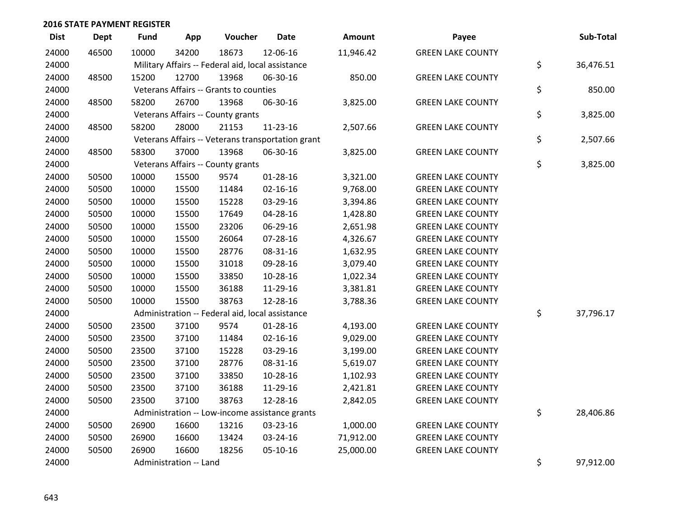| <b>Dist</b> | <b>Dept</b> | <b>Fund</b> | App                    | Voucher                                           | <b>Date</b>                                       | Amount    | Payee                    | Sub-Total       |
|-------------|-------------|-------------|------------------------|---------------------------------------------------|---------------------------------------------------|-----------|--------------------------|-----------------|
| 24000       | 46500       | 10000       | 34200                  | 18673                                             | 12-06-16                                          | 11,946.42 | <b>GREEN LAKE COUNTY</b> |                 |
| 24000       |             |             |                        | Military Affairs -- Federal aid, local assistance |                                                   |           |                          | \$<br>36,476.51 |
| 24000       | 48500       | 15200       | 12700                  | 13968                                             | 06-30-16                                          | 850.00    | <b>GREEN LAKE COUNTY</b> |                 |
| 24000       |             |             |                        | Veterans Affairs -- Grants to counties            |                                                   |           |                          | \$<br>850.00    |
| 24000       | 48500       | 58200       | 26700                  | 13968                                             | 06-30-16                                          | 3,825.00  | <b>GREEN LAKE COUNTY</b> |                 |
| 24000       |             |             |                        | Veterans Affairs -- County grants                 |                                                   |           |                          | \$<br>3,825.00  |
| 24000       | 48500       | 58200       | 28000                  | 21153                                             | 11-23-16                                          | 2,507.66  | <b>GREEN LAKE COUNTY</b> |                 |
| 24000       |             |             |                        |                                                   | Veterans Affairs -- Veterans transportation grant |           |                          | \$<br>2,507.66  |
| 24000       | 48500       | 58300       | 37000                  | 13968                                             | 06-30-16                                          | 3,825.00  | <b>GREEN LAKE COUNTY</b> |                 |
| 24000       |             |             |                        | Veterans Affairs -- County grants                 |                                                   |           |                          | \$<br>3,825.00  |
| 24000       | 50500       | 10000       | 15500                  | 9574                                              | $01 - 28 - 16$                                    | 3,321.00  | <b>GREEN LAKE COUNTY</b> |                 |
| 24000       | 50500       | 10000       | 15500                  | 11484                                             | $02 - 16 - 16$                                    | 9,768.00  | <b>GREEN LAKE COUNTY</b> |                 |
| 24000       | 50500       | 10000       | 15500                  | 15228                                             | 03-29-16                                          | 3,394.86  | <b>GREEN LAKE COUNTY</b> |                 |
| 24000       | 50500       | 10000       | 15500                  | 17649                                             | 04-28-16                                          | 1,428.80  | <b>GREEN LAKE COUNTY</b> |                 |
| 24000       | 50500       | 10000       | 15500                  | 23206                                             | 06-29-16                                          | 2,651.98  | <b>GREEN LAKE COUNTY</b> |                 |
| 24000       | 50500       | 10000       | 15500                  | 26064                                             | 07-28-16                                          | 4,326.67  | <b>GREEN LAKE COUNTY</b> |                 |
| 24000       | 50500       | 10000       | 15500                  | 28776                                             | 08-31-16                                          | 1,632.95  | <b>GREEN LAKE COUNTY</b> |                 |
| 24000       | 50500       | 10000       | 15500                  | 31018                                             | 09-28-16                                          | 3,079.40  | <b>GREEN LAKE COUNTY</b> |                 |
| 24000       | 50500       | 10000       | 15500                  | 33850                                             | 10-28-16                                          | 1,022.34  | <b>GREEN LAKE COUNTY</b> |                 |
| 24000       | 50500       | 10000       | 15500                  | 36188                                             | 11-29-16                                          | 3,381.81  | <b>GREEN LAKE COUNTY</b> |                 |
| 24000       | 50500       | 10000       | 15500                  | 38763                                             | 12-28-16                                          | 3,788.36  | <b>GREEN LAKE COUNTY</b> |                 |
| 24000       |             |             |                        | Administration -- Federal aid, local assistance   |                                                   |           |                          | \$<br>37,796.17 |
| 24000       | 50500       | 23500       | 37100                  | 9574                                              | $01 - 28 - 16$                                    | 4,193.00  | <b>GREEN LAKE COUNTY</b> |                 |
| 24000       | 50500       | 23500       | 37100                  | 11484                                             | $02 - 16 - 16$                                    | 9,029.00  | <b>GREEN LAKE COUNTY</b> |                 |
| 24000       | 50500       | 23500       | 37100                  | 15228                                             | 03-29-16                                          | 3,199.00  | <b>GREEN LAKE COUNTY</b> |                 |
| 24000       | 50500       | 23500       | 37100                  | 28776                                             | 08-31-16                                          | 5,619.07  | <b>GREEN LAKE COUNTY</b> |                 |
| 24000       | 50500       | 23500       | 37100                  | 33850                                             | 10-28-16                                          | 1,102.93  | <b>GREEN LAKE COUNTY</b> |                 |
| 24000       | 50500       | 23500       | 37100                  | 36188                                             | 11-29-16                                          | 2,421.81  | <b>GREEN LAKE COUNTY</b> |                 |
| 24000       | 50500       | 23500       | 37100                  | 38763                                             | 12-28-16                                          | 2,842.05  | <b>GREEN LAKE COUNTY</b> |                 |
| 24000       |             |             |                        |                                                   | Administration -- Low-income assistance grants    |           |                          | \$<br>28,406.86 |
| 24000       | 50500       | 26900       | 16600                  | 13216                                             | 03-23-16                                          | 1,000.00  | <b>GREEN LAKE COUNTY</b> |                 |
| 24000       | 50500       | 26900       | 16600                  | 13424                                             | 03-24-16                                          | 71,912.00 | <b>GREEN LAKE COUNTY</b> |                 |
| 24000       | 50500       | 26900       | 16600                  | 18256                                             | 05-10-16                                          | 25,000.00 | <b>GREEN LAKE COUNTY</b> |                 |
| 24000       |             |             | Administration -- Land |                                                   |                                                   |           |                          | \$<br>97,912.00 |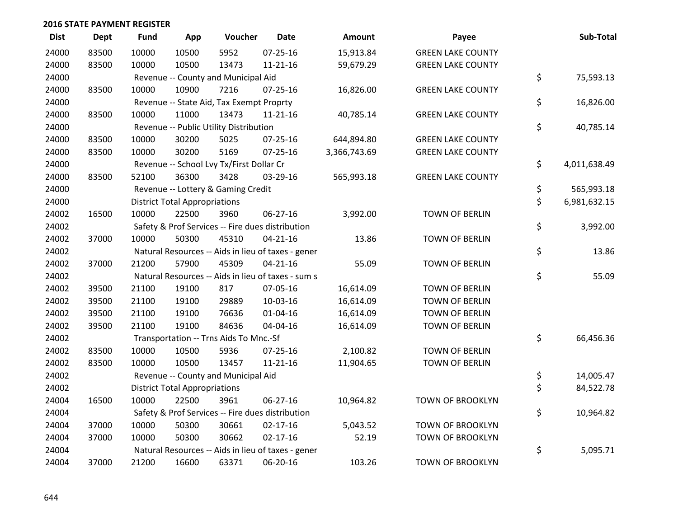| <b>Dist</b> | <b>Dept</b> | <b>Fund</b> | App                                  | Voucher                                  | <b>Date</b>                                        | Amount       | Payee                    | Sub-Total          |
|-------------|-------------|-------------|--------------------------------------|------------------------------------------|----------------------------------------------------|--------------|--------------------------|--------------------|
| 24000       | 83500       | 10000       | 10500                                | 5952                                     | 07-25-16                                           | 15,913.84    | <b>GREEN LAKE COUNTY</b> |                    |
| 24000       | 83500       | 10000       | 10500                                | 13473                                    | $11 - 21 - 16$                                     | 59,679.29    | <b>GREEN LAKE COUNTY</b> |                    |
| 24000       |             |             |                                      | Revenue -- County and Municipal Aid      |                                                    |              |                          | \$<br>75,593.13    |
| 24000       | 83500       | 10000       | 10900                                | 7216                                     | $07 - 25 - 16$                                     | 16,826.00    | <b>GREEN LAKE COUNTY</b> |                    |
| 24000       |             |             |                                      | Revenue -- State Aid, Tax Exempt Proprty |                                                    |              |                          | \$<br>16,826.00    |
| 24000       | 83500       | 10000       | 11000                                | 13473                                    | 11-21-16                                           | 40,785.14    | <b>GREEN LAKE COUNTY</b> |                    |
| 24000       |             |             |                                      | Revenue -- Public Utility Distribution   |                                                    |              |                          | \$<br>40,785.14    |
| 24000       | 83500       | 10000       | 30200                                | 5025                                     | $07 - 25 - 16$                                     | 644,894.80   | <b>GREEN LAKE COUNTY</b> |                    |
| 24000       | 83500       | 10000       | 30200                                | 5169                                     | $07 - 25 - 16$                                     | 3,366,743.69 | <b>GREEN LAKE COUNTY</b> |                    |
| 24000       |             |             |                                      | Revenue -- School Lvy Tx/First Dollar Cr |                                                    |              |                          | \$<br>4,011,638.49 |
| 24000       | 83500       | 52100       | 36300                                | 3428                                     | 03-29-16                                           | 565,993.18   | <b>GREEN LAKE COUNTY</b> |                    |
| 24000       |             |             |                                      | Revenue -- Lottery & Gaming Credit       |                                                    |              |                          | \$<br>565,993.18   |
| 24000       |             |             | <b>District Total Appropriations</b> |                                          |                                                    |              |                          | \$<br>6,981,632.15 |
| 24002       | 16500       | 10000       | 22500                                | 3960                                     | 06-27-16                                           | 3,992.00     | TOWN OF BERLIN           |                    |
| 24002       |             |             |                                      |                                          | Safety & Prof Services -- Fire dues distribution   |              |                          | \$<br>3,992.00     |
| 24002       | 37000       | 10000       | 50300                                | 45310                                    | $04 - 21 - 16$                                     | 13.86        | <b>TOWN OF BERLIN</b>    |                    |
| 24002       |             |             |                                      |                                          | Natural Resources -- Aids in lieu of taxes - gener |              |                          | \$<br>13.86        |
| 24002       | 37000       | 21200       | 57900                                | 45309                                    | $04 - 21 - 16$                                     | 55.09        | TOWN OF BERLIN           |                    |
| 24002       |             |             |                                      |                                          | Natural Resources -- Aids in lieu of taxes - sum s |              |                          | \$<br>55.09        |
| 24002       | 39500       | 21100       | 19100                                | 817                                      | 07-05-16                                           | 16,614.09    | TOWN OF BERLIN           |                    |
| 24002       | 39500       | 21100       | 19100                                | 29889                                    | 10-03-16                                           | 16,614.09    | TOWN OF BERLIN           |                    |
| 24002       | 39500       | 21100       | 19100                                | 76636                                    | $01 - 04 - 16$                                     | 16,614.09    | <b>TOWN OF BERLIN</b>    |                    |
| 24002       | 39500       | 21100       | 19100                                | 84636                                    | 04-04-16                                           | 16,614.09    | TOWN OF BERLIN           |                    |
| 24002       |             |             |                                      | Transportation -- Trns Aids To Mnc.-Sf   |                                                    |              |                          | \$<br>66,456.36    |
| 24002       | 83500       | 10000       | 10500                                | 5936                                     | 07-25-16                                           | 2,100.82     | TOWN OF BERLIN           |                    |
| 24002       | 83500       | 10000       | 10500                                | 13457                                    | $11 - 21 - 16$                                     | 11,904.65    | TOWN OF BERLIN           |                    |
| 24002       |             |             |                                      | Revenue -- County and Municipal Aid      |                                                    |              |                          | \$<br>14,005.47    |
| 24002       |             |             | <b>District Total Appropriations</b> |                                          |                                                    |              |                          | \$<br>84,522.78    |
| 24004       | 16500       | 10000       | 22500                                | 3961                                     | $06 - 27 - 16$                                     | 10,964.82    | <b>TOWN OF BROOKLYN</b>  |                    |
| 24004       |             |             |                                      |                                          | Safety & Prof Services -- Fire dues distribution   |              |                          | \$<br>10,964.82    |
| 24004       | 37000       | 10000       | 50300                                | 30661                                    | $02 - 17 - 16$                                     | 5,043.52     | <b>TOWN OF BROOKLYN</b>  |                    |
| 24004       | 37000       | 10000       | 50300                                | 30662                                    | $02 - 17 - 16$                                     | 52.19        | <b>TOWN OF BROOKLYN</b>  |                    |
| 24004       |             |             |                                      |                                          | Natural Resources -- Aids in lieu of taxes - gener |              |                          | \$<br>5,095.71     |
| 24004       | 37000       | 21200       | 16600                                | 63371                                    | 06-20-16                                           | 103.26       | <b>TOWN OF BROOKLYN</b>  |                    |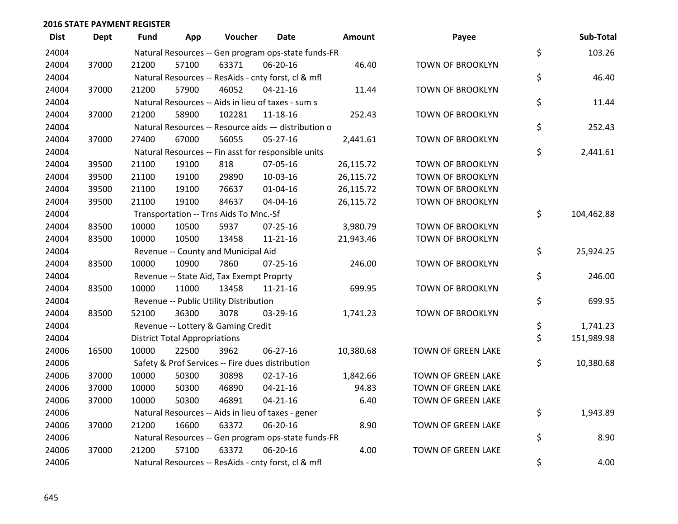| <b>Dist</b> | <b>Dept</b> | <b>Fund</b> | App                                  | Voucher                                             | Date           | <b>Amount</b> | Payee                   | Sub-Total        |
|-------------|-------------|-------------|--------------------------------------|-----------------------------------------------------|----------------|---------------|-------------------------|------------------|
| 24004       |             |             |                                      | Natural Resources -- Gen program ops-state funds-FR |                |               |                         | \$<br>103.26     |
| 24004       | 37000       | 21200       | 57100                                | 63371                                               | 06-20-16       | 46.40         | TOWN OF BROOKLYN        |                  |
| 24004       |             |             |                                      | Natural Resources -- ResAids - cnty forst, cl & mfl |                |               |                         | \$<br>46.40      |
| 24004       | 37000       | 21200       | 57900                                | 46052                                               | $04 - 21 - 16$ | 11.44         | <b>TOWN OF BROOKLYN</b> |                  |
| 24004       |             |             |                                      | Natural Resources -- Aids in lieu of taxes - sum s  |                |               |                         | \$<br>11.44      |
| 24004       | 37000       | 21200       | 58900                                | 102281                                              | 11-18-16       | 252.43        | <b>TOWN OF BROOKLYN</b> |                  |
| 24004       |             |             |                                      | Natural Resources -- Resource aids - distribution o |                |               |                         | \$<br>252.43     |
| 24004       | 37000       | 27400       | 67000                                | 56055                                               | $05 - 27 - 16$ | 2,441.61      | TOWN OF BROOKLYN        |                  |
| 24004       |             |             |                                      | Natural Resources -- Fin asst for responsible units |                |               |                         | \$<br>2,441.61   |
| 24004       | 39500       | 21100       | 19100                                | 818                                                 | 07-05-16       | 26,115.72     | <b>TOWN OF BROOKLYN</b> |                  |
| 24004       | 39500       | 21100       | 19100                                | 29890                                               | $10-03-16$     | 26,115.72     | <b>TOWN OF BROOKLYN</b> |                  |
| 24004       | 39500       | 21100       | 19100                                | 76637                                               | $01 - 04 - 16$ | 26,115.72     | <b>TOWN OF BROOKLYN</b> |                  |
| 24004       | 39500       | 21100       | 19100                                | 84637                                               | 04-04-16       | 26,115.72     | TOWN OF BROOKLYN        |                  |
| 24004       |             |             |                                      | Transportation -- Trns Aids To Mnc.-Sf              |                |               |                         | \$<br>104,462.88 |
| 24004       | 83500       | 10000       | 10500                                | 5937                                                | $07 - 25 - 16$ | 3,980.79      | <b>TOWN OF BROOKLYN</b> |                  |
| 24004       | 83500       | 10000       | 10500                                | 13458                                               | 11-21-16       | 21,943.46     | <b>TOWN OF BROOKLYN</b> |                  |
| 24004       |             |             |                                      | Revenue -- County and Municipal Aid                 |                |               |                         | \$<br>25,924.25  |
| 24004       | 83500       | 10000       | 10900                                | 7860                                                | $07 - 25 - 16$ | 246.00        | <b>TOWN OF BROOKLYN</b> |                  |
| 24004       |             |             |                                      | Revenue -- State Aid, Tax Exempt Proprty            |                |               |                         | \$<br>246.00     |
| 24004       | 83500       | 10000       | 11000                                | 13458                                               | 11-21-16       | 699.95        | TOWN OF BROOKLYN        |                  |
| 24004       |             |             |                                      | Revenue -- Public Utility Distribution              |                |               |                         | \$<br>699.95     |
| 24004       | 83500       | 52100       | 36300                                | 3078                                                | 03-29-16       | 1,741.23      | TOWN OF BROOKLYN        |                  |
| 24004       |             |             |                                      | Revenue -- Lottery & Gaming Credit                  |                |               |                         | \$<br>1,741.23   |
| 24004       |             |             | <b>District Total Appropriations</b> |                                                     |                |               |                         | \$<br>151,989.98 |
| 24006       | 16500       | 10000       | 22500                                | 3962                                                | 06-27-16       | 10,380.68     | TOWN OF GREEN LAKE      |                  |
| 24006       |             |             |                                      | Safety & Prof Services -- Fire dues distribution    |                |               |                         | \$<br>10,380.68  |
| 24006       | 37000       | 10000       | 50300                                | 30898                                               | $02 - 17 - 16$ | 1,842.66      | TOWN OF GREEN LAKE      |                  |
| 24006       | 37000       | 10000       | 50300                                | 46890                                               | $04 - 21 - 16$ | 94.83         | TOWN OF GREEN LAKE      |                  |
| 24006       | 37000       | 10000       | 50300                                | 46891                                               | $04 - 21 - 16$ | 6.40          | TOWN OF GREEN LAKE      |                  |
| 24006       |             |             |                                      | Natural Resources -- Aids in lieu of taxes - gener  |                |               |                         | \$<br>1,943.89   |
| 24006       | 37000       | 21200       | 16600                                | 63372                                               | 06-20-16       | 8.90          | TOWN OF GREEN LAKE      |                  |
| 24006       |             |             |                                      | Natural Resources -- Gen program ops-state funds-FR |                |               |                         | \$<br>8.90       |
| 24006       | 37000       | 21200       | 57100                                | 63372                                               | 06-20-16       | 4.00          | TOWN OF GREEN LAKE      |                  |
| 24006       |             |             |                                      | Natural Resources -- ResAids - cnty forst, cl & mfl |                |               |                         | \$<br>4.00       |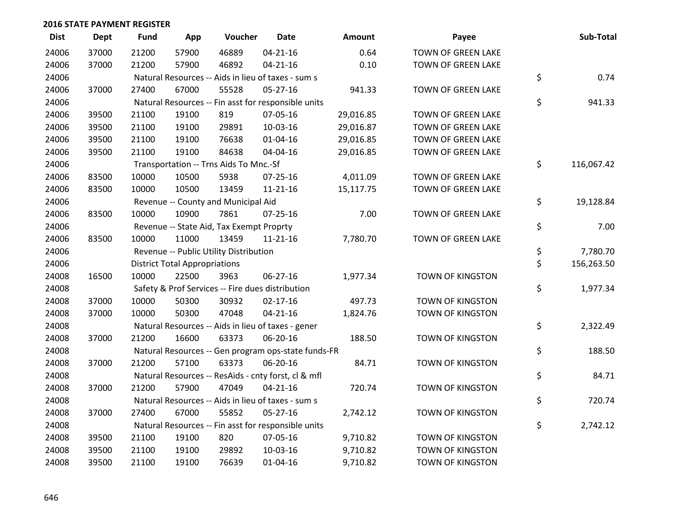| <b>Dist</b> | Dept  | <b>Fund</b> | App                                  | Voucher                                             | <b>Date</b>    | Amount    | Payee                     | Sub-Total        |
|-------------|-------|-------------|--------------------------------------|-----------------------------------------------------|----------------|-----------|---------------------------|------------------|
| 24006       | 37000 | 21200       | 57900                                | 46889                                               | $04 - 21 - 16$ | 0.64      | <b>TOWN OF GREEN LAKE</b> |                  |
| 24006       | 37000 | 21200       | 57900                                | 46892                                               | $04 - 21 - 16$ | 0.10      | <b>TOWN OF GREEN LAKE</b> |                  |
| 24006       |       |             |                                      | Natural Resources -- Aids in lieu of taxes - sum s  |                |           |                           | \$<br>0.74       |
| 24006       | 37000 | 27400       | 67000                                | 55528                                               | 05-27-16       | 941.33    | <b>TOWN OF GREEN LAKE</b> |                  |
| 24006       |       |             |                                      | Natural Resources -- Fin asst for responsible units |                |           |                           | \$<br>941.33     |
| 24006       | 39500 | 21100       | 19100                                | 819                                                 | 07-05-16       | 29,016.85 | TOWN OF GREEN LAKE        |                  |
| 24006       | 39500 | 21100       | 19100                                | 29891                                               | 10-03-16       | 29,016.87 | TOWN OF GREEN LAKE        |                  |
| 24006       | 39500 | 21100       | 19100                                | 76638                                               | $01 - 04 - 16$ | 29,016.85 | TOWN OF GREEN LAKE        |                  |
| 24006       | 39500 | 21100       | 19100                                | 84638                                               | 04-04-16       | 29,016.85 | TOWN OF GREEN LAKE        |                  |
| 24006       |       |             |                                      | Transportation -- Trns Aids To Mnc.-Sf              |                |           |                           | \$<br>116,067.42 |
| 24006       | 83500 | 10000       | 10500                                | 5938                                                | $07 - 25 - 16$ | 4,011.09  | TOWN OF GREEN LAKE        |                  |
| 24006       | 83500 | 10000       | 10500                                | 13459                                               | $11 - 21 - 16$ | 15,117.75 | TOWN OF GREEN LAKE        |                  |
| 24006       |       |             |                                      | Revenue -- County and Municipal Aid                 |                |           |                           | \$<br>19,128.84  |
| 24006       | 83500 | 10000       | 10900                                | 7861                                                | $07 - 25 - 16$ | 7.00      | TOWN OF GREEN LAKE        |                  |
| 24006       |       |             |                                      | Revenue -- State Aid, Tax Exempt Proprty            |                |           |                           | \$<br>7.00       |
| 24006       | 83500 | 10000       | 11000                                | 13459                                               | $11 - 21 - 16$ | 7,780.70  | TOWN OF GREEN LAKE        |                  |
| 24006       |       |             |                                      | Revenue -- Public Utility Distribution              |                |           |                           | \$<br>7,780.70   |
| 24006       |       |             | <b>District Total Appropriations</b> |                                                     |                |           |                           | \$<br>156,263.50 |
| 24008       | 16500 | 10000       | 22500                                | 3963                                                | 06-27-16       | 1,977.34  | <b>TOWN OF KINGSTON</b>   |                  |
| 24008       |       |             |                                      | Safety & Prof Services -- Fire dues distribution    |                |           |                           | \$<br>1,977.34   |
| 24008       | 37000 | 10000       | 50300                                | 30932                                               | $02 - 17 - 16$ | 497.73    | <b>TOWN OF KINGSTON</b>   |                  |
| 24008       | 37000 | 10000       | 50300                                | 47048                                               | $04 - 21 - 16$ | 1,824.76  | <b>TOWN OF KINGSTON</b>   |                  |
| 24008       |       |             |                                      | Natural Resources -- Aids in lieu of taxes - gener  |                |           |                           | \$<br>2,322.49   |
| 24008       | 37000 | 21200       | 16600                                | 63373                                               | 06-20-16       | 188.50    | <b>TOWN OF KINGSTON</b>   |                  |
| 24008       |       |             |                                      | Natural Resources -- Gen program ops-state funds-FR |                |           |                           | \$<br>188.50     |
| 24008       | 37000 | 21200       | 57100                                | 63373                                               | 06-20-16       | 84.71     | <b>TOWN OF KINGSTON</b>   |                  |
| 24008       |       |             |                                      | Natural Resources -- ResAids - cnty forst, cl & mfl |                |           |                           | \$<br>84.71      |
| 24008       | 37000 | 21200       | 57900                                | 47049                                               | $04 - 21 - 16$ | 720.74    | TOWN OF KINGSTON          |                  |
| 24008       |       |             |                                      | Natural Resources -- Aids in lieu of taxes - sum s  |                |           |                           | \$<br>720.74     |
| 24008       | 37000 | 27400       | 67000                                | 55852                                               | $05-27-16$     | 2,742.12  | <b>TOWN OF KINGSTON</b>   |                  |
| 24008       |       |             |                                      | Natural Resources -- Fin asst for responsible units |                |           |                           | \$<br>2,742.12   |
| 24008       | 39500 | 21100       | 19100                                | 820                                                 | 07-05-16       | 9,710.82  | TOWN OF KINGSTON          |                  |
| 24008       | 39500 | 21100       | 19100                                | 29892                                               | 10-03-16       | 9,710.82  | TOWN OF KINGSTON          |                  |
| 24008       | 39500 | 21100       | 19100                                | 76639                                               | $01 - 04 - 16$ | 9,710.82  | <b>TOWN OF KINGSTON</b>   |                  |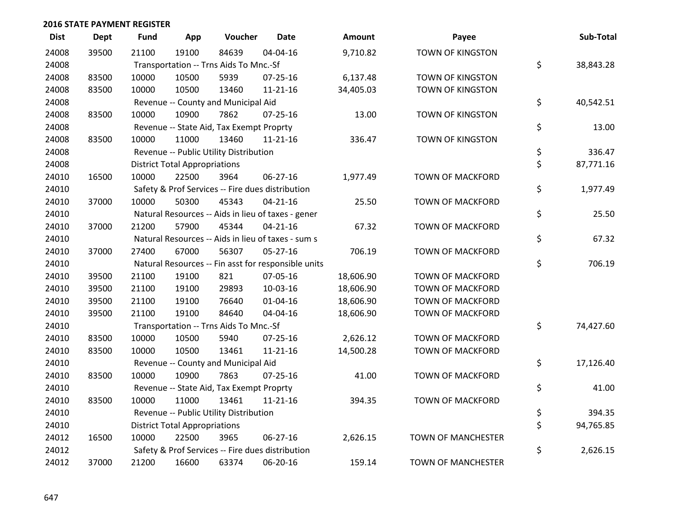| <b>Dist</b> | <b>Dept</b> | <b>Fund</b> | App                                  | Voucher                                          | <b>Date</b>                                         | Amount    | Payee                     | Sub-Total       |
|-------------|-------------|-------------|--------------------------------------|--------------------------------------------------|-----------------------------------------------------|-----------|---------------------------|-----------------|
| 24008       | 39500       | 21100       | 19100                                | 84639                                            | 04-04-16                                            | 9,710.82  | <b>TOWN OF KINGSTON</b>   |                 |
| 24008       |             |             |                                      | Transportation -- Trns Aids To Mnc.-Sf           |                                                     |           |                           | \$<br>38,843.28 |
| 24008       | 83500       | 10000       | 10500                                | 5939                                             | 07-25-16                                            | 6,137.48  | TOWN OF KINGSTON          |                 |
| 24008       | 83500       | 10000       | 10500                                | 13460                                            | 11-21-16                                            | 34,405.03 | TOWN OF KINGSTON          |                 |
| 24008       |             |             |                                      | Revenue -- County and Municipal Aid              |                                                     |           |                           | \$<br>40,542.51 |
| 24008       | 83500       | 10000       | 10900                                | 7862                                             | $07 - 25 - 16$                                      | 13.00     | TOWN OF KINGSTON          |                 |
| 24008       |             |             |                                      | Revenue -- State Aid, Tax Exempt Proprty         |                                                     |           |                           | \$<br>13.00     |
| 24008       | 83500       | 10000       | 11000                                | 13460                                            | 11-21-16                                            | 336.47    | TOWN OF KINGSTON          |                 |
| 24008       |             |             |                                      | Revenue -- Public Utility Distribution           |                                                     |           |                           | \$<br>336.47    |
| 24008       |             |             | <b>District Total Appropriations</b> |                                                  |                                                     |           |                           | \$<br>87,771.16 |
| 24010       | 16500       | 10000       | 22500                                | 3964                                             | 06-27-16                                            | 1,977.49  | TOWN OF MACKFORD          |                 |
| 24010       |             |             |                                      | Safety & Prof Services -- Fire dues distribution |                                                     |           |                           | \$<br>1,977.49  |
| 24010       | 37000       | 10000       | 50300                                | 45343                                            | $04 - 21 - 16$                                      | 25.50     | <b>TOWN OF MACKFORD</b>   |                 |
| 24010       |             |             |                                      |                                                  | Natural Resources -- Aids in lieu of taxes - gener  |           |                           | \$<br>25.50     |
| 24010       | 37000       | 21200       | 57900                                | 45344                                            | $04 - 21 - 16$                                      | 67.32     | <b>TOWN OF MACKFORD</b>   |                 |
| 24010       |             |             |                                      |                                                  | Natural Resources -- Aids in lieu of taxes - sum s  |           |                           | \$<br>67.32     |
| 24010       | 37000       | 27400       | 67000                                | 56307                                            | 05-27-16                                            | 706.19    | <b>TOWN OF MACKFORD</b>   |                 |
| 24010       |             |             |                                      |                                                  | Natural Resources -- Fin asst for responsible units |           |                           | \$<br>706.19    |
| 24010       | 39500       | 21100       | 19100                                | 821                                              | 07-05-16                                            | 18,606.90 | <b>TOWN OF MACKFORD</b>   |                 |
| 24010       | 39500       | 21100       | 19100                                | 29893                                            | 10-03-16                                            | 18,606.90 | <b>TOWN OF MACKFORD</b>   |                 |
| 24010       | 39500       | 21100       | 19100                                | 76640                                            | 01-04-16                                            | 18,606.90 | <b>TOWN OF MACKFORD</b>   |                 |
| 24010       | 39500       | 21100       | 19100                                | 84640                                            | 04-04-16                                            | 18,606.90 | <b>TOWN OF MACKFORD</b>   |                 |
| 24010       |             |             |                                      | Transportation -- Trns Aids To Mnc.-Sf           |                                                     |           |                           | \$<br>74,427.60 |
| 24010       | 83500       | 10000       | 10500                                | 5940                                             | $07 - 25 - 16$                                      | 2,626.12  | <b>TOWN OF MACKFORD</b>   |                 |
| 24010       | 83500       | 10000       | 10500                                | 13461                                            | $11 - 21 - 16$                                      | 14,500.28 | <b>TOWN OF MACKFORD</b>   |                 |
| 24010       |             |             |                                      | Revenue -- County and Municipal Aid              |                                                     |           |                           | \$<br>17,126.40 |
| 24010       | 83500       | 10000       | 10900                                | 7863                                             | 07-25-16                                            | 41.00     | TOWN OF MACKFORD          |                 |
| 24010       |             |             |                                      | Revenue -- State Aid, Tax Exempt Proprty         |                                                     |           |                           | \$<br>41.00     |
| 24010       | 83500       | 10000       | 11000                                | 13461                                            | $11 - 21 - 16$                                      | 394.35    | <b>TOWN OF MACKFORD</b>   |                 |
| 24010       |             |             |                                      | Revenue -- Public Utility Distribution           |                                                     |           |                           | \$<br>394.35    |
| 24010       |             |             | <b>District Total Appropriations</b> |                                                  |                                                     |           |                           | \$<br>94,765.85 |
| 24012       | 16500       | 10000       | 22500                                | 3965                                             | 06-27-16                                            | 2,626.15  | <b>TOWN OF MANCHESTER</b> |                 |
| 24012       |             |             |                                      | Safety & Prof Services -- Fire dues distribution |                                                     |           |                           | \$<br>2,626.15  |
| 24012       | 37000       | 21200       | 16600                                | 63374                                            | 06-20-16                                            | 159.14    | <b>TOWN OF MANCHESTER</b> |                 |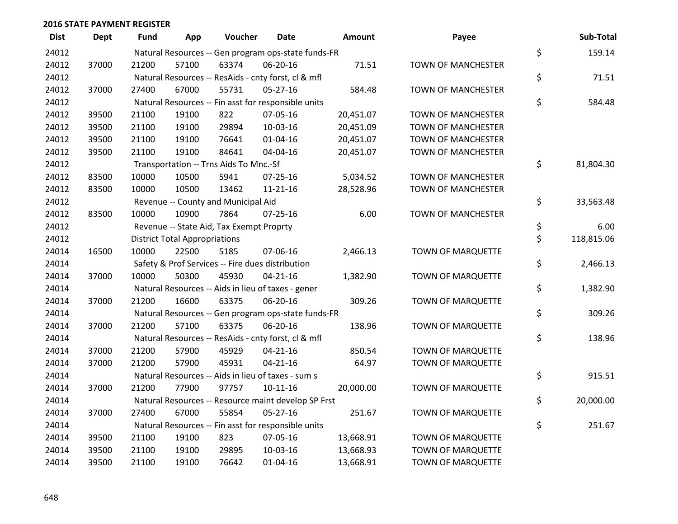| <b>Dist</b> | <b>Dept</b> | <b>Fund</b> | App                                  | Voucher                                             | Date           | Amount    | Payee                     | Sub-Total        |
|-------------|-------------|-------------|--------------------------------------|-----------------------------------------------------|----------------|-----------|---------------------------|------------------|
| 24012       |             |             |                                      | Natural Resources -- Gen program ops-state funds-FR |                |           |                           | \$<br>159.14     |
| 24012       | 37000       | 21200       | 57100                                | 63374                                               | 06-20-16       | 71.51     | TOWN OF MANCHESTER        |                  |
| 24012       |             |             |                                      | Natural Resources -- ResAids - cnty forst, cl & mfl |                |           |                           | \$<br>71.51      |
| 24012       | 37000       | 27400       | 67000                                | 55731                                               | $05 - 27 - 16$ | 584.48    | <b>TOWN OF MANCHESTER</b> |                  |
| 24012       |             |             |                                      | Natural Resources -- Fin asst for responsible units |                |           |                           | \$<br>584.48     |
| 24012       | 39500       | 21100       | 19100                                | 822                                                 | 07-05-16       | 20,451.07 | <b>TOWN OF MANCHESTER</b> |                  |
| 24012       | 39500       | 21100       | 19100                                | 29894                                               | 10-03-16       | 20,451.09 | TOWN OF MANCHESTER        |                  |
| 24012       | 39500       | 21100       | 19100                                | 76641                                               | $01 - 04 - 16$ | 20,451.07 | <b>TOWN OF MANCHESTER</b> |                  |
| 24012       | 39500       | 21100       | 19100                                | 84641                                               | 04-04-16       | 20,451.07 | <b>TOWN OF MANCHESTER</b> |                  |
| 24012       |             |             |                                      | Transportation -- Trns Aids To Mnc.-Sf              |                |           |                           | \$<br>81,804.30  |
| 24012       | 83500       | 10000       | 10500                                | 5941                                                | $07 - 25 - 16$ | 5,034.52  | <b>TOWN OF MANCHESTER</b> |                  |
| 24012       | 83500       | 10000       | 10500                                | 13462                                               | $11 - 21 - 16$ | 28,528.96 | TOWN OF MANCHESTER        |                  |
| 24012       |             |             |                                      | Revenue -- County and Municipal Aid                 |                |           |                           | \$<br>33,563.48  |
| 24012       | 83500       | 10000       | 10900                                | 7864                                                | $07 - 25 - 16$ | 6.00      | <b>TOWN OF MANCHESTER</b> |                  |
| 24012       |             |             |                                      | Revenue -- State Aid, Tax Exempt Proprty            |                |           |                           | \$<br>6.00       |
| 24012       |             |             | <b>District Total Appropriations</b> |                                                     |                |           |                           | \$<br>118,815.06 |
| 24014       | 16500       | 10000       | 22500                                | 5185                                                | 07-06-16       | 2,466.13  | TOWN OF MARQUETTE         |                  |
| 24014       |             |             |                                      | Safety & Prof Services -- Fire dues distribution    |                |           |                           | \$<br>2,466.13   |
| 24014       | 37000       | 10000       | 50300                                | 45930                                               | $04 - 21 - 16$ | 1,382.90  | TOWN OF MARQUETTE         |                  |
| 24014       |             |             |                                      | Natural Resources -- Aids in lieu of taxes - gener  |                |           |                           | \$<br>1,382.90   |
| 24014       | 37000       | 21200       | 16600                                | 63375                                               | 06-20-16       | 309.26    | <b>TOWN OF MARQUETTE</b>  |                  |
| 24014       |             |             |                                      | Natural Resources -- Gen program ops-state funds-FR |                |           |                           | \$<br>309.26     |
| 24014       | 37000       | 21200       | 57100                                | 63375                                               | 06-20-16       | 138.96    | TOWN OF MARQUETTE         |                  |
| 24014       |             |             |                                      | Natural Resources -- ResAids - cnty forst, cl & mfl |                |           |                           | \$<br>138.96     |
| 24014       | 37000       | 21200       | 57900                                | 45929                                               | $04 - 21 - 16$ | 850.54    | <b>TOWN OF MARQUETTE</b>  |                  |
| 24014       | 37000       | 21200       | 57900                                | 45931                                               | $04 - 21 - 16$ | 64.97     | <b>TOWN OF MARQUETTE</b>  |                  |
| 24014       |             |             |                                      | Natural Resources -- Aids in lieu of taxes - sum s  |                |           |                           | \$<br>915.51     |
| 24014       | 37000       | 21200       | 77900                                | 97757                                               | $10-11-16$     | 20,000.00 | TOWN OF MARQUETTE         |                  |
| 24014       |             |             |                                      | Natural Resources -- Resource maint develop SP Frst |                |           |                           | \$<br>20,000.00  |
| 24014       | 37000       | 27400       | 67000                                | 55854                                               | $05 - 27 - 16$ | 251.67    | TOWN OF MARQUETTE         |                  |
| 24014       |             |             |                                      | Natural Resources -- Fin asst for responsible units |                |           |                           | \$<br>251.67     |
| 24014       | 39500       | 21100       | 19100                                | 823                                                 | 07-05-16       | 13,668.91 | TOWN OF MARQUETTE         |                  |
| 24014       | 39500       | 21100       | 19100                                | 29895                                               | 10-03-16       | 13,668.93 | TOWN OF MARQUETTE         |                  |
| 24014       | 39500       | 21100       | 19100                                | 76642                                               | $01 - 04 - 16$ | 13,668.91 | <b>TOWN OF MARQUETTE</b>  |                  |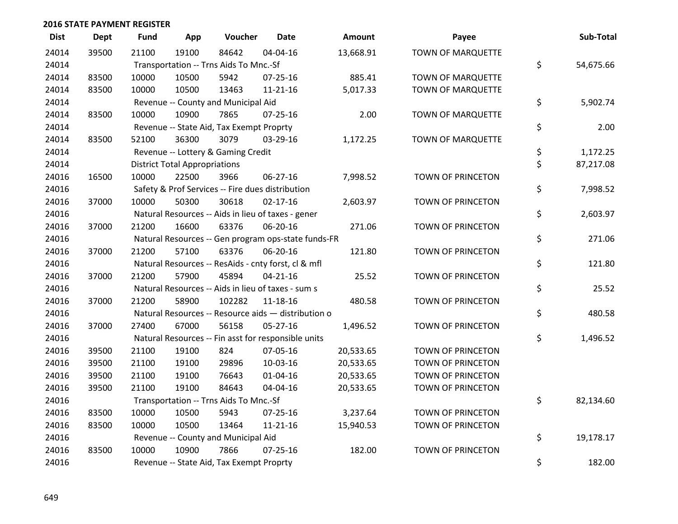| <b>Dist</b> | <b>Dept</b> | <b>Fund</b> | App                                  | Voucher                                          | <b>Date</b>                                         | Amount    | Payee                    | Sub-Total       |
|-------------|-------------|-------------|--------------------------------------|--------------------------------------------------|-----------------------------------------------------|-----------|--------------------------|-----------------|
| 24014       | 39500       | 21100       | 19100                                | 84642                                            | 04-04-16                                            | 13,668.91 | TOWN OF MARQUETTE        |                 |
| 24014       |             |             |                                      | Transportation -- Trns Aids To Mnc.-Sf           |                                                     |           |                          | \$<br>54,675.66 |
| 24014       | 83500       | 10000       | 10500                                | 5942                                             | 07-25-16                                            | 885.41    | TOWN OF MARQUETTE        |                 |
| 24014       | 83500       | 10000       | 10500                                | 13463                                            | $11 - 21 - 16$                                      | 5,017.33  | TOWN OF MARQUETTE        |                 |
| 24014       |             |             |                                      | Revenue -- County and Municipal Aid              |                                                     |           |                          | \$<br>5,902.74  |
| 24014       | 83500       | 10000       | 10900                                | 7865                                             | $07 - 25 - 16$                                      | 2.00      | TOWN OF MARQUETTE        |                 |
| 24014       |             |             |                                      | Revenue -- State Aid, Tax Exempt Proprty         |                                                     |           |                          | \$<br>2.00      |
| 24014       | 83500       | 52100       | 36300                                | 3079                                             | 03-29-16                                            | 1,172.25  | TOWN OF MARQUETTE        |                 |
| 24014       |             |             |                                      | Revenue -- Lottery & Gaming Credit               |                                                     |           |                          | \$<br>1,172.25  |
| 24014       |             |             | <b>District Total Appropriations</b> |                                                  |                                                     |           |                          | \$<br>87,217.08 |
| 24016       | 16500       | 10000       | 22500                                | 3966                                             | 06-27-16                                            | 7,998.52  | TOWN OF PRINCETON        |                 |
| 24016       |             |             |                                      | Safety & Prof Services -- Fire dues distribution |                                                     |           |                          | \$<br>7,998.52  |
| 24016       | 37000       | 10000       | 50300                                | 30618                                            | $02 - 17 - 16$                                      | 2,603.97  | TOWN OF PRINCETON        |                 |
| 24016       |             |             |                                      |                                                  | Natural Resources -- Aids in lieu of taxes - gener  |           |                          | \$<br>2,603.97  |
| 24016       | 37000       | 21200       | 16600                                | 63376                                            | 06-20-16                                            | 271.06    | TOWN OF PRINCETON        |                 |
| 24016       |             |             |                                      |                                                  | Natural Resources -- Gen program ops-state funds-FR |           |                          | \$<br>271.06    |
| 24016       | 37000       | 21200       | 57100                                | 63376                                            | 06-20-16                                            | 121.80    | TOWN OF PRINCETON        |                 |
| 24016       |             |             |                                      |                                                  | Natural Resources -- ResAids - cnty forst, cl & mfl |           |                          | \$<br>121.80    |
| 24016       | 37000       | 21200       | 57900                                | 45894                                            | $04 - 21 - 16$                                      | 25.52     | TOWN OF PRINCETON        |                 |
| 24016       |             |             |                                      |                                                  | Natural Resources -- Aids in lieu of taxes - sum s  |           |                          | \$<br>25.52     |
| 24016       | 37000       | 21200       | 58900                                | 102282                                           | 11-18-16                                            | 480.58    | TOWN OF PRINCETON        |                 |
| 24016       |             |             |                                      |                                                  | Natural Resources -- Resource aids - distribution o |           |                          | \$<br>480.58    |
| 24016       | 37000       | 27400       | 67000                                | 56158                                            | $05 - 27 - 16$                                      | 1,496.52  | TOWN OF PRINCETON        |                 |
| 24016       |             |             |                                      |                                                  | Natural Resources -- Fin asst for responsible units |           |                          | \$<br>1,496.52  |
| 24016       | 39500       | 21100       | 19100                                | 824                                              | 07-05-16                                            | 20,533.65 | TOWN OF PRINCETON        |                 |
| 24016       | 39500       | 21100       | 19100                                | 29896                                            | 10-03-16                                            | 20,533.65 | TOWN OF PRINCETON        |                 |
| 24016       | 39500       | 21100       | 19100                                | 76643                                            | $01 - 04 - 16$                                      | 20,533.65 | TOWN OF PRINCETON        |                 |
| 24016       | 39500       | 21100       | 19100                                | 84643                                            | 04-04-16                                            | 20,533.65 | TOWN OF PRINCETON        |                 |
| 24016       |             |             |                                      | Transportation -- Trns Aids To Mnc.-Sf           |                                                     |           |                          | \$<br>82,134.60 |
| 24016       | 83500       | 10000       | 10500                                | 5943                                             | $07 - 25 - 16$                                      | 3,237.64  | TOWN OF PRINCETON        |                 |
| 24016       | 83500       | 10000       | 10500                                | 13464                                            | $11 - 21 - 16$                                      | 15,940.53 | TOWN OF PRINCETON        |                 |
| 24016       |             |             |                                      | Revenue -- County and Municipal Aid              |                                                     |           |                          | \$<br>19,178.17 |
| 24016       | 83500       | 10000       | 10900                                | 7866                                             | $07 - 25 - 16$                                      | 182.00    | <b>TOWN OF PRINCETON</b> |                 |
| 24016       |             |             |                                      | Revenue -- State Aid, Tax Exempt Proprty         |                                                     |           |                          | \$<br>182.00    |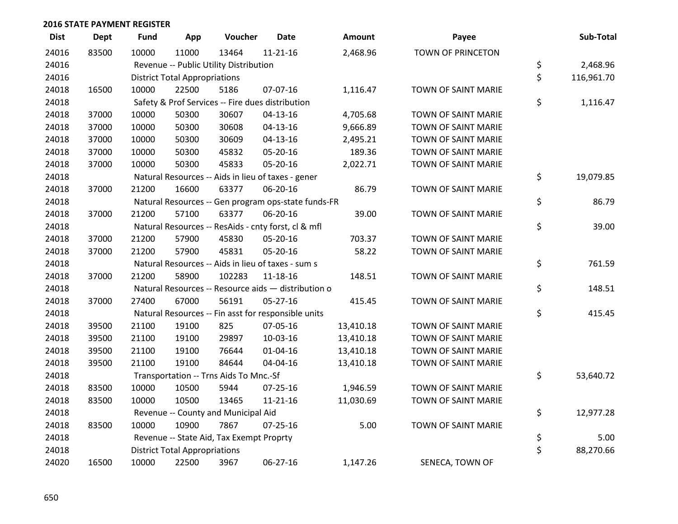| <b>Dist</b> | <b>Dept</b> | <b>Fund</b> | App                                  | Voucher                                  | <b>Date</b>                                         | Amount    | Payee               | Sub-Total        |
|-------------|-------------|-------------|--------------------------------------|------------------------------------------|-----------------------------------------------------|-----------|---------------------|------------------|
| 24016       | 83500       | 10000       | 11000                                | 13464                                    | $11 - 21 - 16$                                      | 2,468.96  | TOWN OF PRINCETON   |                  |
| 24016       |             |             |                                      | Revenue -- Public Utility Distribution   |                                                     |           |                     | \$<br>2,468.96   |
| 24016       |             |             | <b>District Total Appropriations</b> |                                          |                                                     |           |                     | \$<br>116,961.70 |
| 24018       | 16500       | 10000       | 22500                                | 5186                                     | 07-07-16                                            | 1,116.47  | TOWN OF SAINT MARIE |                  |
| 24018       |             |             |                                      |                                          | Safety & Prof Services -- Fire dues distribution    |           |                     | \$<br>1,116.47   |
| 24018       | 37000       | 10000       | 50300                                | 30607                                    | $04-13-16$                                          | 4,705.68  | TOWN OF SAINT MARIE |                  |
| 24018       | 37000       | 10000       | 50300                                | 30608                                    | $04 - 13 - 16$                                      | 9,666.89  | TOWN OF SAINT MARIE |                  |
| 24018       | 37000       | 10000       | 50300                                | 30609                                    | $04 - 13 - 16$                                      | 2,495.21  | TOWN OF SAINT MARIE |                  |
| 24018       | 37000       | 10000       | 50300                                | 45832                                    | 05-20-16                                            | 189.36    | TOWN OF SAINT MARIE |                  |
| 24018       | 37000       | 10000       | 50300                                | 45833                                    | 05-20-16                                            | 2,022.71  | TOWN OF SAINT MARIE |                  |
| 24018       |             |             |                                      |                                          | Natural Resources -- Aids in lieu of taxes - gener  |           |                     | \$<br>19,079.85  |
| 24018       | 37000       | 21200       | 16600                                | 63377                                    | 06-20-16                                            | 86.79     | TOWN OF SAINT MARIE |                  |
| 24018       |             |             |                                      |                                          | Natural Resources -- Gen program ops-state funds-FR |           |                     | \$<br>86.79      |
| 24018       | 37000       | 21200       | 57100                                | 63377                                    | 06-20-16                                            | 39.00     | TOWN OF SAINT MARIE |                  |
| 24018       |             |             |                                      |                                          | Natural Resources -- ResAids - cnty forst, cl & mfl |           |                     | \$<br>39.00      |
| 24018       | 37000       | 21200       | 57900                                | 45830                                    | 05-20-16                                            | 703.37    | TOWN OF SAINT MARIE |                  |
| 24018       | 37000       | 21200       | 57900                                | 45831                                    | 05-20-16                                            | 58.22     | TOWN OF SAINT MARIE |                  |
| 24018       |             |             |                                      |                                          | Natural Resources -- Aids in lieu of taxes - sum s  |           |                     | \$<br>761.59     |
| 24018       | 37000       | 21200       | 58900                                | 102283                                   | 11-18-16                                            | 148.51    | TOWN OF SAINT MARIE |                  |
| 24018       |             |             |                                      |                                          | Natural Resources -- Resource aids - distribution o |           |                     | \$<br>148.51     |
| 24018       | 37000       | 27400       | 67000                                | 56191                                    | 05-27-16                                            | 415.45    | TOWN OF SAINT MARIE |                  |
| 24018       |             |             |                                      |                                          | Natural Resources -- Fin asst for responsible units |           |                     | \$<br>415.45     |
| 24018       | 39500       | 21100       | 19100                                | 825                                      | 07-05-16                                            | 13,410.18 | TOWN OF SAINT MARIE |                  |
| 24018       | 39500       | 21100       | 19100                                | 29897                                    | 10-03-16                                            | 13,410.18 | TOWN OF SAINT MARIE |                  |
| 24018       | 39500       | 21100       | 19100                                | 76644                                    | $01 - 04 - 16$                                      | 13,410.18 | TOWN OF SAINT MARIE |                  |
| 24018       | 39500       | 21100       | 19100                                | 84644                                    | 04-04-16                                            | 13,410.18 | TOWN OF SAINT MARIE |                  |
| 24018       |             |             |                                      | Transportation -- Trns Aids To Mnc.-Sf   |                                                     |           |                     | \$<br>53,640.72  |
| 24018       | 83500       | 10000       | 10500                                | 5944                                     | $07 - 25 - 16$                                      | 1,946.59  | TOWN OF SAINT MARIE |                  |
| 24018       | 83500       | 10000       | 10500                                | 13465                                    | $11 - 21 - 16$                                      | 11,030.69 | TOWN OF SAINT MARIE |                  |
| 24018       |             |             |                                      | Revenue -- County and Municipal Aid      |                                                     |           |                     | \$<br>12,977.28  |
| 24018       | 83500       | 10000       | 10900                                | 7867                                     | 07-25-16                                            | 5.00      | TOWN OF SAINT MARIE |                  |
| 24018       |             |             |                                      | Revenue -- State Aid, Tax Exempt Proprty |                                                     |           |                     | \$<br>5.00       |
| 24018       |             |             | <b>District Total Appropriations</b> |                                          |                                                     |           |                     | \$<br>88,270.66  |
| 24020       | 16500       | 10000       | 22500                                | 3967                                     | 06-27-16                                            | 1,147.26  | SENECA, TOWN OF     |                  |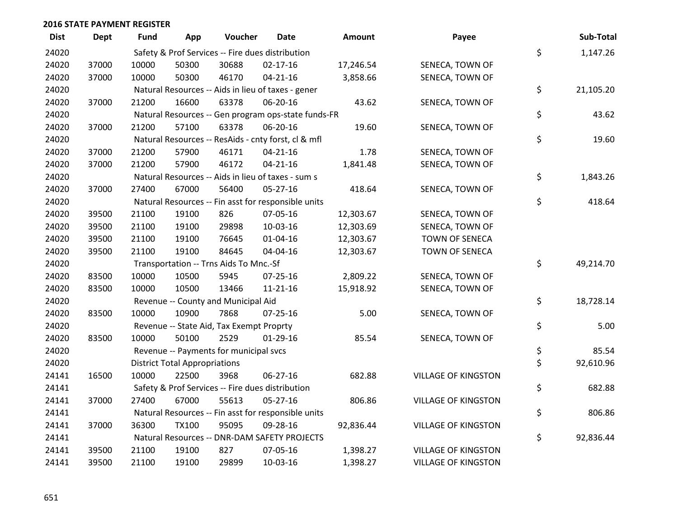| <b>Dist</b> | <b>Dept</b> | <b>Fund</b>                                         | App                                  | Voucher                                          | Date                                                | <b>Amount</b> | Payee                      |    | Sub-Total |
|-------------|-------------|-----------------------------------------------------|--------------------------------------|--------------------------------------------------|-----------------------------------------------------|---------------|----------------------------|----|-----------|
| 24020       |             |                                                     |                                      | Safety & Prof Services -- Fire dues distribution |                                                     |               |                            | \$ | 1,147.26  |
| 24020       | 37000       | 10000                                               | 50300                                | 30688                                            | $02 - 17 - 16$                                      | 17,246.54     | SENECA, TOWN OF            |    |           |
| 24020       | 37000       | 10000                                               | 50300                                | 46170                                            | $04 - 21 - 16$                                      | 3,858.66      | SENECA, TOWN OF            |    |           |
| 24020       |             |                                                     |                                      |                                                  | Natural Resources -- Aids in lieu of taxes - gener  |               |                            | \$ | 21,105.20 |
| 24020       | 37000       | 21200                                               | 16600                                | 63378                                            | 06-20-16                                            | 43.62         | SENECA, TOWN OF            |    |           |
| 24020       |             |                                                     |                                      |                                                  | Natural Resources -- Gen program ops-state funds-FR |               |                            | \$ | 43.62     |
| 24020       | 37000       | 21200                                               | 57100                                | 63378                                            | 06-20-16                                            | 19.60         | SENECA, TOWN OF            |    |           |
| 24020       |             |                                                     |                                      |                                                  | Natural Resources -- ResAids - cnty forst, cl & mfl |               |                            | \$ | 19.60     |
| 24020       | 37000       | 21200                                               | 57900                                | 46171                                            | $04 - 21 - 16$                                      | 1.78          | SENECA, TOWN OF            |    |           |
| 24020       | 37000       | 21200                                               | 57900                                | 46172                                            | $04 - 21 - 16$                                      | 1,841.48      | SENECA, TOWN OF            |    |           |
| 24020       |             |                                                     |                                      |                                                  | Natural Resources -- Aids in lieu of taxes - sum s  |               |                            | \$ | 1,843.26  |
| 24020       | 37000       | 27400                                               | 67000                                | 56400                                            | 05-27-16                                            | 418.64        | SENECA, TOWN OF            |    |           |
| 24020       |             |                                                     |                                      |                                                  | Natural Resources -- Fin asst for responsible units |               |                            | \$ | 418.64    |
| 24020       | 39500       | 21100                                               | 19100                                | 826                                              | 07-05-16                                            | 12,303.67     | SENECA, TOWN OF            |    |           |
| 24020       | 39500       | 21100                                               | 19100                                | 29898                                            | 10-03-16                                            | 12,303.69     | SENECA, TOWN OF            |    |           |
| 24020       | 39500       | 21100                                               | 19100                                | 76645                                            | $01 - 04 - 16$                                      | 12,303.67     | TOWN OF SENECA             |    |           |
| 24020       | 39500       | 21100                                               | 19100                                | 84645                                            | 04-04-16                                            | 12,303.67     | <b>TOWN OF SENECA</b>      |    |           |
| 24020       |             |                                                     |                                      | Transportation -- Trns Aids To Mnc.-Sf           |                                                     |               |                            | \$ | 49,214.70 |
| 24020       | 83500       | 10000                                               | 10500                                | 5945                                             | $07 - 25 - 16$                                      | 2,809.22      | SENECA, TOWN OF            |    |           |
| 24020       | 83500       | 10000                                               | 10500                                | 13466                                            | 11-21-16                                            | 15,918.92     | SENECA, TOWN OF            |    |           |
| 24020       |             |                                                     |                                      | Revenue -- County and Municipal Aid              |                                                     |               |                            | \$ | 18,728.14 |
| 24020       | 83500       | 10000                                               | 10900                                | 7868                                             | 07-25-16                                            | 5.00          | SENECA, TOWN OF            |    |           |
| 24020       |             |                                                     |                                      | Revenue -- State Aid, Tax Exempt Proprty         |                                                     |               |                            | \$ | 5.00      |
| 24020       | 83500       | 10000                                               | 50100                                | 2529                                             | $01-29-16$                                          | 85.54         | SENECA, TOWN OF            |    |           |
| 24020       |             |                                                     |                                      | Revenue -- Payments for municipal svcs           |                                                     |               |                            | \$ | 85.54     |
| 24020       |             |                                                     | <b>District Total Appropriations</b> |                                                  |                                                     |               |                            | \$ | 92,610.96 |
| 24141       | 16500       | 10000                                               | 22500                                | 3968                                             | 06-27-16                                            | 682.88        | <b>VILLAGE OF KINGSTON</b> |    |           |
| 24141       |             |                                                     |                                      | Safety & Prof Services -- Fire dues distribution |                                                     |               |                            | \$ | 682.88    |
| 24141       | 37000       | 27400                                               | 67000                                | 55613                                            | $05 - 27 - 16$                                      | 806.86        | <b>VILLAGE OF KINGSTON</b> |    |           |
| 24141       |             | Natural Resources -- Fin asst for responsible units |                                      |                                                  |                                                     |               |                            |    | 806.86    |
| 24141       | 37000       | 36300                                               | <b>TX100</b>                         | 95095                                            | 09-28-16                                            | 92,836.44     | <b>VILLAGE OF KINGSTON</b> |    |           |
| 24141       |             |                                                     |                                      |                                                  | Natural Resources -- DNR-DAM SAFETY PROJECTS        |               |                            | \$ | 92,836.44 |
| 24141       | 39500       | 21100                                               | 19100                                | 827                                              | 07-05-16                                            | 1,398.27      | <b>VILLAGE OF KINGSTON</b> |    |           |
| 24141       | 39500       | 21100                                               | 19100                                | 29899                                            | 10-03-16                                            | 1,398.27      | <b>VILLAGE OF KINGSTON</b> |    |           |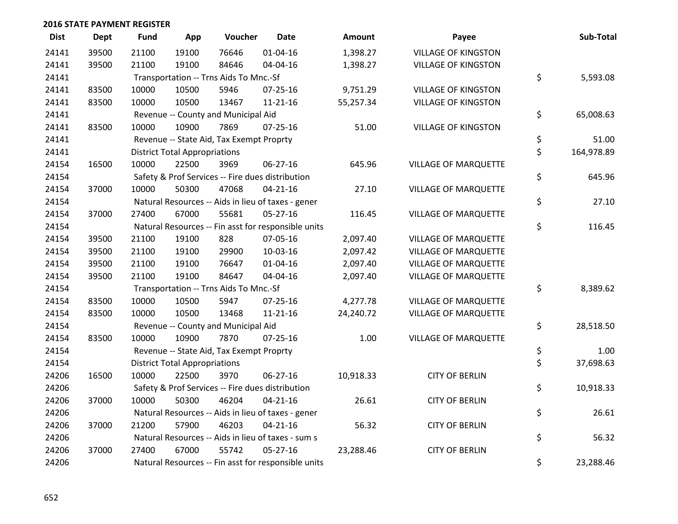| <b>Dist</b> | <b>Dept</b> | <b>Fund</b> | App                                                 | Voucher                                  | <b>Date</b>                                         | Amount    | Payee                       | Sub-Total        |
|-------------|-------------|-------------|-----------------------------------------------------|------------------------------------------|-----------------------------------------------------|-----------|-----------------------------|------------------|
| 24141       | 39500       | 21100       | 19100                                               | 76646                                    | $01 - 04 - 16$                                      | 1,398.27  | <b>VILLAGE OF KINGSTON</b>  |                  |
| 24141       | 39500       | 21100       | 19100                                               | 84646                                    | 04-04-16                                            | 1,398.27  | <b>VILLAGE OF KINGSTON</b>  |                  |
| 24141       |             |             |                                                     | Transportation -- Trns Aids To Mnc.-Sf   |                                                     |           |                             | \$<br>5,593.08   |
| 24141       | 83500       | 10000       | 10500                                               | 5946                                     | $07 - 25 - 16$                                      | 9,751.29  | <b>VILLAGE OF KINGSTON</b>  |                  |
| 24141       | 83500       | 10000       | 10500                                               | 13467                                    | $11 - 21 - 16$                                      | 55,257.34 | <b>VILLAGE OF KINGSTON</b>  |                  |
| 24141       |             |             |                                                     | Revenue -- County and Municipal Aid      |                                                     |           |                             | \$<br>65,008.63  |
| 24141       | 83500       | 10000       | 10900                                               | 7869                                     | $07 - 25 - 16$                                      | 51.00     | <b>VILLAGE OF KINGSTON</b>  |                  |
| 24141       |             |             |                                                     | Revenue -- State Aid, Tax Exempt Proprty |                                                     |           |                             | \$<br>51.00      |
| 24141       |             |             | <b>District Total Appropriations</b>                |                                          |                                                     |           |                             | \$<br>164,978.89 |
| 24154       | 16500       | 10000       | 22500                                               | 3969                                     | 06-27-16                                            | 645.96    | <b>VILLAGE OF MARQUETTE</b> |                  |
| 24154       |             |             |                                                     |                                          | Safety & Prof Services -- Fire dues distribution    |           |                             | \$<br>645.96     |
| 24154       | 37000       | 10000       | 50300                                               | 47068                                    | $04 - 21 - 16$                                      | 27.10     | <b>VILLAGE OF MARQUETTE</b> |                  |
| 24154       |             |             |                                                     |                                          | Natural Resources -- Aids in lieu of taxes - gener  |           |                             | \$<br>27.10      |
| 24154       | 37000       | 27400       | 67000                                               | 55681                                    | $05 - 27 - 16$                                      | 116.45    | <b>VILLAGE OF MARQUETTE</b> |                  |
| 24154       |             |             |                                                     |                                          | Natural Resources -- Fin asst for responsible units |           |                             | \$<br>116.45     |
| 24154       | 39500       | 21100       | 19100                                               | 828                                      | 07-05-16                                            | 2,097.40  | <b>VILLAGE OF MARQUETTE</b> |                  |
| 24154       | 39500       | 21100       | 19100                                               | 29900                                    | 10-03-16                                            | 2,097.42  | <b>VILLAGE OF MARQUETTE</b> |                  |
| 24154       | 39500       | 21100       | 19100                                               | 76647                                    | $01 - 04 - 16$                                      | 2,097.40  | <b>VILLAGE OF MARQUETTE</b> |                  |
| 24154       | 39500       | 21100       | 19100                                               | 84647                                    | 04-04-16                                            | 2,097.40  | <b>VILLAGE OF MARQUETTE</b> |                  |
| 24154       |             |             |                                                     | Transportation -- Trns Aids To Mnc.-Sf   |                                                     |           |                             | \$<br>8,389.62   |
| 24154       | 83500       | 10000       | 10500                                               | 5947                                     | $07 - 25 - 16$                                      | 4,277.78  | <b>VILLAGE OF MARQUETTE</b> |                  |
| 24154       | 83500       | 10000       | 10500                                               | 13468                                    | $11 - 21 - 16$                                      | 24,240.72 | <b>VILLAGE OF MARQUETTE</b> |                  |
| 24154       |             |             |                                                     | Revenue -- County and Municipal Aid      |                                                     |           |                             | \$<br>28,518.50  |
| 24154       | 83500       | 10000       | 10900                                               | 7870                                     | $07 - 25 - 16$                                      | 1.00      | <b>VILLAGE OF MARQUETTE</b> |                  |
| 24154       |             |             |                                                     | Revenue -- State Aid, Tax Exempt Proprty |                                                     |           |                             | \$<br>1.00       |
| 24154       |             |             | <b>District Total Appropriations</b>                |                                          |                                                     |           |                             | \$<br>37,698.63  |
| 24206       | 16500       | 10000       | 22500                                               | 3970                                     | $06 - 27 - 16$                                      | 10,918.33 | <b>CITY OF BERLIN</b>       |                  |
| 24206       |             |             |                                                     |                                          | Safety & Prof Services -- Fire dues distribution    |           |                             | \$<br>10,918.33  |
| 24206       | 37000       | 10000       | 50300                                               | 46204                                    | $04 - 21 - 16$                                      | 26.61     | <b>CITY OF BERLIN</b>       |                  |
| 24206       |             |             |                                                     |                                          | Natural Resources -- Aids in lieu of taxes - gener  |           |                             | \$<br>26.61      |
| 24206       | 37000       | 21200       | 57900                                               | 46203                                    | $04 - 21 - 16$                                      | 56.32     | <b>CITY OF BERLIN</b>       |                  |
| 24206       |             |             |                                                     |                                          | Natural Resources -- Aids in lieu of taxes - sum s  |           |                             | \$<br>56.32      |
| 24206       | 37000       | 27400       | 67000                                               | 55742                                    | $05 - 27 - 16$                                      | 23,288.46 | <b>CITY OF BERLIN</b>       |                  |
| 24206       |             |             | Natural Resources -- Fin asst for responsible units | \$<br>23,288.46                          |                                                     |           |                             |                  |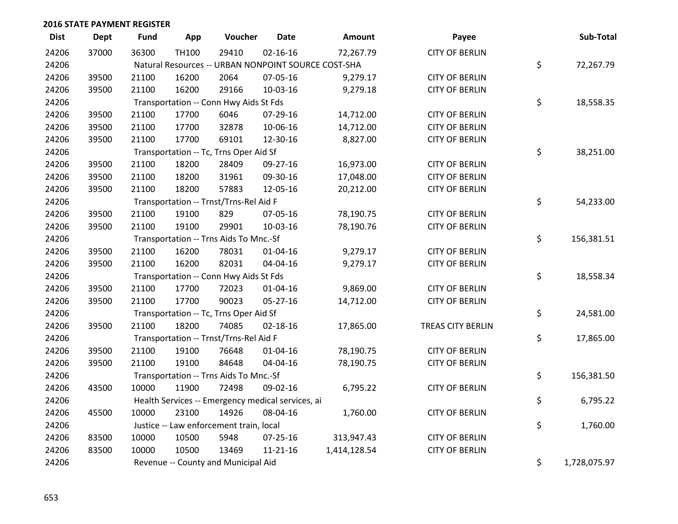| <b>Dist</b> | <b>Dept</b> | <b>Fund</b>                             | App                                                 | Voucher                                           | <b>Date</b>    | Amount       | Payee                 |    | Sub-Total    |  |  |
|-------------|-------------|-----------------------------------------|-----------------------------------------------------|---------------------------------------------------|----------------|--------------|-----------------------|----|--------------|--|--|
| 24206       | 37000       | 36300                                   | <b>TH100</b>                                        | 29410                                             | $02 - 16 - 16$ | 72,267.79    | <b>CITY OF BERLIN</b> |    |              |  |  |
| 24206       |             |                                         | Natural Resources -- URBAN NONPOINT SOURCE COST-SHA |                                                   |                |              |                       |    |              |  |  |
| 24206       | 39500       | 21100                                   | 16200                                               | 2064                                              | 07-05-16       | 9,279.17     | <b>CITY OF BERLIN</b> |    |              |  |  |
| 24206       | 39500       | 21100                                   | 16200                                               | 29166                                             | 10-03-16       | 9,279.18     | <b>CITY OF BERLIN</b> |    |              |  |  |
| 24206       |             |                                         |                                                     | Transportation -- Conn Hwy Aids St Fds            |                |              |                       | \$ | 18,558.35    |  |  |
| 24206       | 39500       | 21100                                   | 17700                                               | 6046                                              | 07-29-16       | 14,712.00    | <b>CITY OF BERLIN</b> |    |              |  |  |
| 24206       | 39500       | 21100                                   | 17700                                               | 32878                                             | 10-06-16       | 14,712.00    | <b>CITY OF BERLIN</b> |    |              |  |  |
| 24206       | 39500       | 21100                                   | 17700                                               | 69101                                             | 12-30-16       | 8,827.00     | <b>CITY OF BERLIN</b> |    |              |  |  |
| 24206       |             |                                         |                                                     | Transportation -- Tc, Trns Oper Aid Sf            |                |              |                       | \$ | 38,251.00    |  |  |
| 24206       | 39500       | 21100                                   | 18200                                               | 28409                                             | 09-27-16       | 16,973.00    | <b>CITY OF BERLIN</b> |    |              |  |  |
| 24206       | 39500       | 21100                                   | 18200                                               | 31961                                             | 09-30-16       | 17,048.00    | <b>CITY OF BERLIN</b> |    |              |  |  |
| 24206       | 39500       | 21100                                   | 18200                                               | 57883                                             | 12-05-16       | 20,212.00    | <b>CITY OF BERLIN</b> |    |              |  |  |
| 24206       |             |                                         |                                                     | Transportation -- Trnst/Trns-Rel Aid F            |                |              |                       | \$ | 54,233.00    |  |  |
| 24206       | 39500       | 21100                                   | 19100                                               | 829                                               | 07-05-16       | 78,190.75    | <b>CITY OF BERLIN</b> |    |              |  |  |
| 24206       | 39500       | 21100                                   | 19100                                               | 29901                                             | 10-03-16       | 78,190.76    | <b>CITY OF BERLIN</b> |    |              |  |  |
| 24206       |             |                                         |                                                     | Transportation -- Trns Aids To Mnc.-Sf            |                |              |                       | \$ | 156,381.51   |  |  |
| 24206       | 39500       | 21100                                   | 16200                                               | 78031                                             | $01 - 04 - 16$ | 9,279.17     | <b>CITY OF BERLIN</b> |    |              |  |  |
| 24206       | 39500       | 21100                                   | 16200                                               | 82031                                             | 04-04-16       | 9,279.17     | <b>CITY OF BERLIN</b> |    |              |  |  |
| 24206       |             |                                         |                                                     | Transportation -- Conn Hwy Aids St Fds            |                |              |                       | \$ | 18,558.34    |  |  |
| 24206       | 39500       | 21100                                   | 17700                                               | 72023                                             | $01 - 04 - 16$ | 9,869.00     | <b>CITY OF BERLIN</b> |    |              |  |  |
| 24206       | 39500       | 21100                                   | 17700                                               | 90023                                             | 05-27-16       | 14,712.00    | <b>CITY OF BERLIN</b> |    |              |  |  |
| 24206       |             |                                         |                                                     | Transportation -- Tc, Trns Oper Aid Sf            |                |              |                       | \$ | 24,581.00    |  |  |
| 24206       | 39500       | 21100                                   | 18200                                               | 74085                                             | $02 - 18 - 16$ | 17,865.00    | TREAS CITY BERLIN     |    |              |  |  |
| 24206       |             |                                         |                                                     | Transportation -- Trnst/Trns-Rel Aid F            |                |              |                       | \$ | 17,865.00    |  |  |
| 24206       | 39500       | 21100                                   | 19100                                               | 76648                                             | $01 - 04 - 16$ | 78,190.75    | <b>CITY OF BERLIN</b> |    |              |  |  |
| 24206       | 39500       | 21100                                   | 19100                                               | 84648                                             | 04-04-16       | 78,190.75    | <b>CITY OF BERLIN</b> |    |              |  |  |
| 24206       |             |                                         |                                                     | Transportation -- Trns Aids To Mnc.-Sf            |                |              |                       | \$ | 156,381.50   |  |  |
| 24206       | 43500       | 10000                                   | 11900                                               | 72498                                             | 09-02-16       | 6,795.22     | <b>CITY OF BERLIN</b> |    |              |  |  |
| 24206       |             |                                         |                                                     | Health Services -- Emergency medical services, ai |                |              |                       | \$ | 6,795.22     |  |  |
| 24206       | 45500       | 10000                                   | 23100                                               | 14926                                             | 08-04-16       | 1,760.00     | <b>CITY OF BERLIN</b> |    |              |  |  |
| 24206       |             | Justice -- Law enforcement train, local |                                                     |                                                   |                |              |                       |    | 1,760.00     |  |  |
| 24206       | 83500       | 10000                                   | 10500                                               | 5948                                              | 07-25-16       | 313,947.43   | <b>CITY OF BERLIN</b> |    |              |  |  |
| 24206       | 83500       | 10000                                   | 10500                                               | 13469                                             | 11-21-16       | 1,414,128.54 | <b>CITY OF BERLIN</b> |    |              |  |  |
| 24206       |             |                                         |                                                     | Revenue -- County and Municipal Aid               |                |              |                       | \$ | 1,728,075.97 |  |  |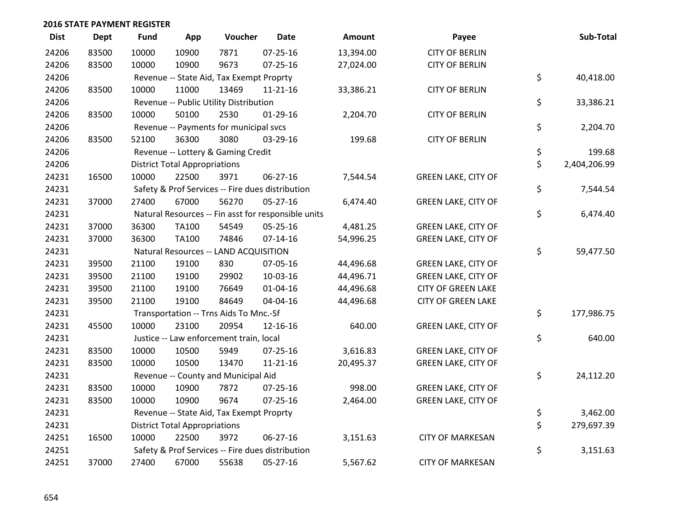| <b>Dist</b> | <b>Dept</b> | <b>Fund</b> | App                                  | Voucher                                             | Date           | <b>Amount</b> | Payee                      | Sub-Total          |
|-------------|-------------|-------------|--------------------------------------|-----------------------------------------------------|----------------|---------------|----------------------------|--------------------|
| 24206       | 83500       | 10000       | 10900                                | 7871                                                | $07 - 25 - 16$ | 13,394.00     | <b>CITY OF BERLIN</b>      |                    |
| 24206       | 83500       | 10000       | 10900                                | 9673                                                | 07-25-16       | 27,024.00     | <b>CITY OF BERLIN</b>      |                    |
| 24206       |             |             |                                      | Revenue -- State Aid, Tax Exempt Proprty            |                |               |                            | \$<br>40,418.00    |
| 24206       | 83500       | 10000       | 11000                                | 13469                                               | $11 - 21 - 16$ | 33,386.21     | <b>CITY OF BERLIN</b>      |                    |
| 24206       |             |             |                                      | Revenue -- Public Utility Distribution              |                |               |                            | \$<br>33,386.21    |
| 24206       | 83500       | 10000       | 50100                                | 2530                                                | $01-29-16$     | 2,204.70      | <b>CITY OF BERLIN</b>      |                    |
| 24206       |             |             |                                      | Revenue -- Payments for municipal svcs              |                |               |                            | \$<br>2,204.70     |
| 24206       | 83500       | 52100       | 36300                                | 3080                                                | 03-29-16       | 199.68        | <b>CITY OF BERLIN</b>      |                    |
| 24206       |             |             |                                      | Revenue -- Lottery & Gaming Credit                  |                |               |                            | \$<br>199.68       |
| 24206       |             |             | <b>District Total Appropriations</b> |                                                     |                |               |                            | \$<br>2,404,206.99 |
| 24231       | 16500       | 10000       | 22500                                | 3971                                                | 06-27-16       | 7,544.54      | <b>GREEN LAKE, CITY OF</b> |                    |
| 24231       |             |             |                                      | Safety & Prof Services -- Fire dues distribution    |                |               |                            | \$<br>7,544.54     |
| 24231       | 37000       | 27400       | 67000                                | 56270                                               | $05 - 27 - 16$ | 6,474.40      | <b>GREEN LAKE, CITY OF</b> |                    |
| 24231       |             |             |                                      | Natural Resources -- Fin asst for responsible units |                |               |                            | \$<br>6,474.40     |
| 24231       | 37000       | 36300       | <b>TA100</b>                         | 54549                                               | 05-25-16       | 4,481.25      | <b>GREEN LAKE, CITY OF</b> |                    |
| 24231       | 37000       | 36300       | <b>TA100</b>                         | 74846                                               | $07 - 14 - 16$ | 54,996.25     | <b>GREEN LAKE, CITY OF</b> |                    |
| 24231       |             |             |                                      | Natural Resources -- LAND ACQUISITION               |                |               |                            | \$<br>59,477.50    |
| 24231       | 39500       | 21100       | 19100                                | 830                                                 | 07-05-16       | 44,496.68     | <b>GREEN LAKE, CITY OF</b> |                    |
| 24231       | 39500       | 21100       | 19100                                | 29902                                               | 10-03-16       | 44,496.71     | <b>GREEN LAKE, CITY OF</b> |                    |
| 24231       | 39500       | 21100       | 19100                                | 76649                                               | 01-04-16       | 44,496.68     | <b>CITY OF GREEN LAKE</b>  |                    |
| 24231       | 39500       | 21100       | 19100                                | 84649                                               | 04-04-16       | 44,496.68     | <b>CITY OF GREEN LAKE</b>  |                    |
| 24231       |             |             |                                      | Transportation -- Trns Aids To Mnc.-Sf              |                |               |                            | \$<br>177,986.75   |
| 24231       | 45500       | 10000       | 23100                                | 20954                                               | 12-16-16       | 640.00        | <b>GREEN LAKE, CITY OF</b> |                    |
| 24231       |             |             |                                      | Justice -- Law enforcement train, local             |                |               |                            | \$<br>640.00       |
| 24231       | 83500       | 10000       | 10500                                | 5949                                                | 07-25-16       | 3,616.83      | <b>GREEN LAKE, CITY OF</b> |                    |
| 24231       | 83500       | 10000       | 10500                                | 13470                                               | $11 - 21 - 16$ | 20,495.37     | <b>GREEN LAKE, CITY OF</b> |                    |
| 24231       |             |             |                                      | Revenue -- County and Municipal Aid                 |                |               |                            | \$<br>24,112.20    |
| 24231       | 83500       | 10000       | 10900                                | 7872                                                | 07-25-16       | 998.00        | <b>GREEN LAKE, CITY OF</b> |                    |
| 24231       | 83500       | 10000       | 10900                                | 9674                                                | 07-25-16       | 2,464.00      | <b>GREEN LAKE, CITY OF</b> |                    |
| 24231       |             |             |                                      | Revenue -- State Aid, Tax Exempt Proprty            |                |               |                            | \$<br>3,462.00     |
| 24231       |             |             | <b>District Total Appropriations</b> |                                                     |                |               |                            | \$<br>279,697.39   |
| 24251       | 16500       | 10000       | 22500                                | 3972                                                | 06-27-16       | 3,151.63      | <b>CITY OF MARKESAN</b>    |                    |
| 24251       |             |             |                                      | Safety & Prof Services -- Fire dues distribution    |                |               |                            | \$<br>3,151.63     |
| 24251       | 37000       | 27400       | 67000                                | 55638                                               | 05-27-16       | 5,567.62      | <b>CITY OF MARKESAN</b>    |                    |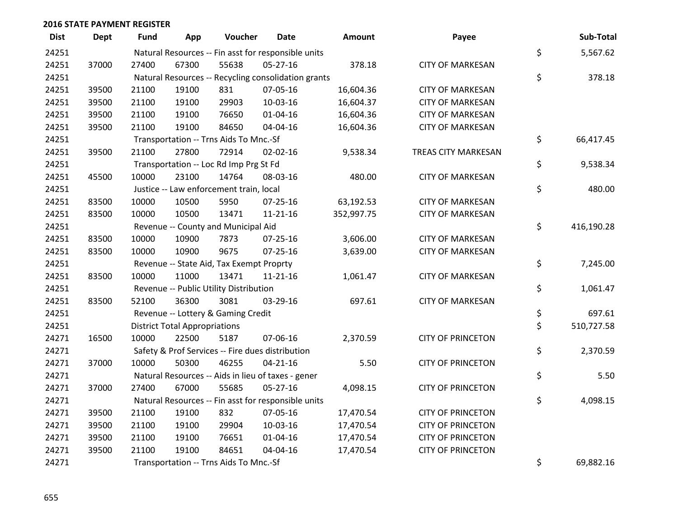| <b>Dist</b> | <b>Dept</b> | <b>Fund</b> | App                                                 | Voucher                                             | <b>Date</b>    | Amount     | Payee                    |    | Sub-Total  |  |
|-------------|-------------|-------------|-----------------------------------------------------|-----------------------------------------------------|----------------|------------|--------------------------|----|------------|--|
| 24251       |             |             |                                                     | Natural Resources -- Fin asst for responsible units |                |            |                          | \$ | 5,567.62   |  |
| 24251       | 37000       | 27400       | 67300                                               | 55638                                               | 05-27-16       | 378.18     | <b>CITY OF MARKESAN</b>  |    |            |  |
| 24251       |             |             | Natural Resources -- Recycling consolidation grants |                                                     |                |            |                          |    |            |  |
| 24251       | 39500       | 21100       | 19100                                               | 831                                                 | 07-05-16       | 16,604.36  | <b>CITY OF MARKESAN</b>  |    |            |  |
| 24251       | 39500       | 21100       | 19100                                               | 29903                                               | 10-03-16       | 16,604.37  | <b>CITY OF MARKESAN</b>  |    |            |  |
| 24251       | 39500       | 21100       | 19100                                               | 76650                                               | $01 - 04 - 16$ | 16,604.36  | <b>CITY OF MARKESAN</b>  |    |            |  |
| 24251       | 39500       | 21100       | 19100                                               | 84650                                               | 04-04-16       | 16,604.36  | <b>CITY OF MARKESAN</b>  |    |            |  |
| 24251       |             |             |                                                     | Transportation -- Trns Aids To Mnc.-Sf              |                |            |                          | \$ | 66,417.45  |  |
| 24251       | 39500       | 21100       | 27800                                               | 72914                                               | $02 - 02 - 16$ | 9,538.34   | TREAS CITY MARKESAN      |    |            |  |
| 24251       |             |             |                                                     | Transportation -- Loc Rd Imp Prg St Fd              |                |            |                          | \$ | 9,538.34   |  |
| 24251       | 45500       | 10000       | 23100                                               | 14764                                               | 08-03-16       | 480.00     | <b>CITY OF MARKESAN</b>  |    |            |  |
| 24251       |             |             |                                                     | Justice -- Law enforcement train, local             |                |            |                          | \$ | 480.00     |  |
| 24251       | 83500       | 10000       | 10500                                               | 5950                                                | $07 - 25 - 16$ | 63,192.53  | <b>CITY OF MARKESAN</b>  |    |            |  |
| 24251       | 83500       | 10000       | 10500                                               | 13471                                               | $11 - 21 - 16$ | 352,997.75 | <b>CITY OF MARKESAN</b>  |    |            |  |
| 24251       |             |             |                                                     | Revenue -- County and Municipal Aid                 |                |            |                          | \$ | 416,190.28 |  |
| 24251       | 83500       | 10000       | 10900                                               | 7873                                                | $07 - 25 - 16$ | 3,606.00   | <b>CITY OF MARKESAN</b>  |    |            |  |
| 24251       | 83500       | 10000       | 10900                                               | 9675                                                | $07 - 25 - 16$ | 3,639.00   | <b>CITY OF MARKESAN</b>  |    |            |  |
| 24251       |             |             |                                                     | Revenue -- State Aid, Tax Exempt Proprty            |                |            |                          | \$ | 7,245.00   |  |
| 24251       | 83500       | 10000       | 11000                                               | 13471                                               | $11 - 21 - 16$ | 1,061.47   | <b>CITY OF MARKESAN</b>  |    |            |  |
| 24251       |             |             |                                                     | Revenue -- Public Utility Distribution              |                |            |                          | \$ | 1,061.47   |  |
| 24251       | 83500       | 52100       | 36300                                               | 3081                                                | 03-29-16       | 697.61     | <b>CITY OF MARKESAN</b>  |    |            |  |
| 24251       |             |             |                                                     | Revenue -- Lottery & Gaming Credit                  |                |            |                          | \$ | 697.61     |  |
| 24251       |             |             | <b>District Total Appropriations</b>                |                                                     |                |            |                          | \$ | 510,727.58 |  |
| 24271       | 16500       | 10000       | 22500                                               | 5187                                                | 07-06-16       | 2,370.59   | <b>CITY OF PRINCETON</b> |    |            |  |
| 24271       |             |             |                                                     | Safety & Prof Services -- Fire dues distribution    |                |            |                          | \$ | 2,370.59   |  |
| 24271       | 37000       | 10000       | 50300                                               | 46255                                               | $04 - 21 - 16$ | 5.50       | <b>CITY OF PRINCETON</b> |    |            |  |
| 24271       |             |             |                                                     | Natural Resources -- Aids in lieu of taxes - gener  |                |            |                          | \$ | 5.50       |  |
| 24271       | 37000       | 27400       | 67000                                               | 55685                                               | $05 - 27 - 16$ | 4,098.15   | <b>CITY OF PRINCETON</b> |    |            |  |
| 24271       |             |             |                                                     | Natural Resources -- Fin asst for responsible units |                |            |                          | \$ | 4,098.15   |  |
| 24271       | 39500       | 21100       | 19100                                               | 832                                                 | 07-05-16       | 17,470.54  | <b>CITY OF PRINCETON</b> |    |            |  |
| 24271       | 39500       | 21100       | 19100                                               | 29904                                               | 10-03-16       | 17,470.54  | <b>CITY OF PRINCETON</b> |    |            |  |
| 24271       | 39500       | 21100       | 19100                                               | 76651                                               | $01 - 04 - 16$ | 17,470.54  | <b>CITY OF PRINCETON</b> |    |            |  |
| 24271       | 39500       | 21100       | 19100                                               | 84651                                               | 04-04-16       | 17,470.54  | <b>CITY OF PRINCETON</b> |    |            |  |
| 24271       |             |             |                                                     | Transportation -- Trns Aids To Mnc.-Sf              |                |            |                          | \$ | 69,882.16  |  |